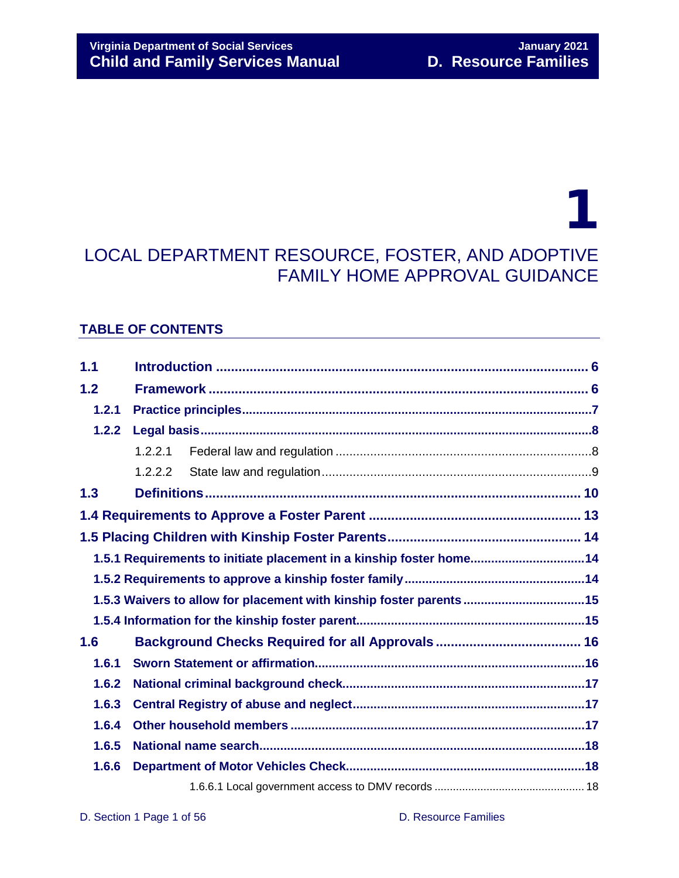## 1 LOCAL DEPARTMENT RESOURCE, FOSTER, AND ADOPTIVE FAMILY HOME APPROVAL GUIDANCE

### **TABLE OF CONTENTS**

| 1.1                                                                 |                                                                     |  |  |
|---------------------------------------------------------------------|---------------------------------------------------------------------|--|--|
| 1.2                                                                 |                                                                     |  |  |
| 1.2.1                                                               |                                                                     |  |  |
| 1.2.2                                                               |                                                                     |  |  |
|                                                                     | 1.2.2.1                                                             |  |  |
|                                                                     | 1.2.2.2                                                             |  |  |
| 1.3                                                                 |                                                                     |  |  |
|                                                                     |                                                                     |  |  |
|                                                                     |                                                                     |  |  |
|                                                                     | 1.5.1 Requirements to initiate placement in a kinship foster home14 |  |  |
|                                                                     |                                                                     |  |  |
| 1.5.3 Waivers to allow for placement with kinship foster parents 15 |                                                                     |  |  |
|                                                                     |                                                                     |  |  |
| 1.6                                                                 |                                                                     |  |  |
| 1.6.1                                                               |                                                                     |  |  |
| 1.6.2                                                               |                                                                     |  |  |
| 1.6.3                                                               |                                                                     |  |  |
| 1.6.4                                                               |                                                                     |  |  |
| 1.6.5                                                               |                                                                     |  |  |
| 1.6.6                                                               |                                                                     |  |  |
|                                                                     |                                                                     |  |  |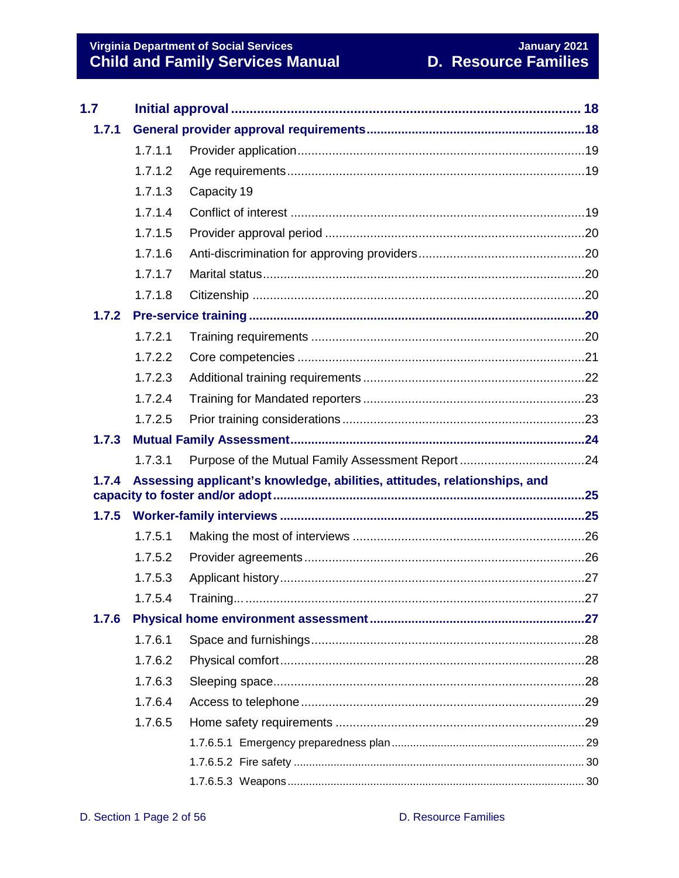# Virginia Department of Social Services<br>Child and Family Services Manual

| 1.7   |         |                                                                           |  |  |
|-------|---------|---------------------------------------------------------------------------|--|--|
| 1.7.1 |         |                                                                           |  |  |
|       | 1.7.1.1 |                                                                           |  |  |
|       | 1.7.1.2 |                                                                           |  |  |
|       | 1.7.1.3 | Capacity 19                                                               |  |  |
|       | 1.7.1.4 |                                                                           |  |  |
|       | 1.7.1.5 |                                                                           |  |  |
|       | 1.7.1.6 |                                                                           |  |  |
|       | 1.7.1.7 |                                                                           |  |  |
|       | 1.7.1.8 |                                                                           |  |  |
| 1.7.2 |         |                                                                           |  |  |
|       | 1.7.2.1 |                                                                           |  |  |
|       | 1.7.2.2 |                                                                           |  |  |
|       | 1.7.2.3 |                                                                           |  |  |
|       | 1.7.2.4 |                                                                           |  |  |
|       | 1.7.2.5 |                                                                           |  |  |
| 1.7.3 |         |                                                                           |  |  |
|       | 1.7.3.1 |                                                                           |  |  |
| 1.7.4 |         | Assessing applicant's knowledge, abilities, attitudes, relationships, and |  |  |
| 1.7.5 |         |                                                                           |  |  |
|       | 1.7.5.1 |                                                                           |  |  |
|       | 1.7.5.2 |                                                                           |  |  |
|       | 1.7.5.3 |                                                                           |  |  |
|       | 1.7.5.4 |                                                                           |  |  |
| 1.7.6 |         |                                                                           |  |  |
|       | 1.7.6.1 |                                                                           |  |  |
|       | 1.7.6.2 |                                                                           |  |  |
|       | 1.7.6.3 |                                                                           |  |  |
|       | 1.7.6.4 |                                                                           |  |  |
|       | 1.7.6.5 |                                                                           |  |  |
|       |         |                                                                           |  |  |
|       |         |                                                                           |  |  |
|       |         |                                                                           |  |  |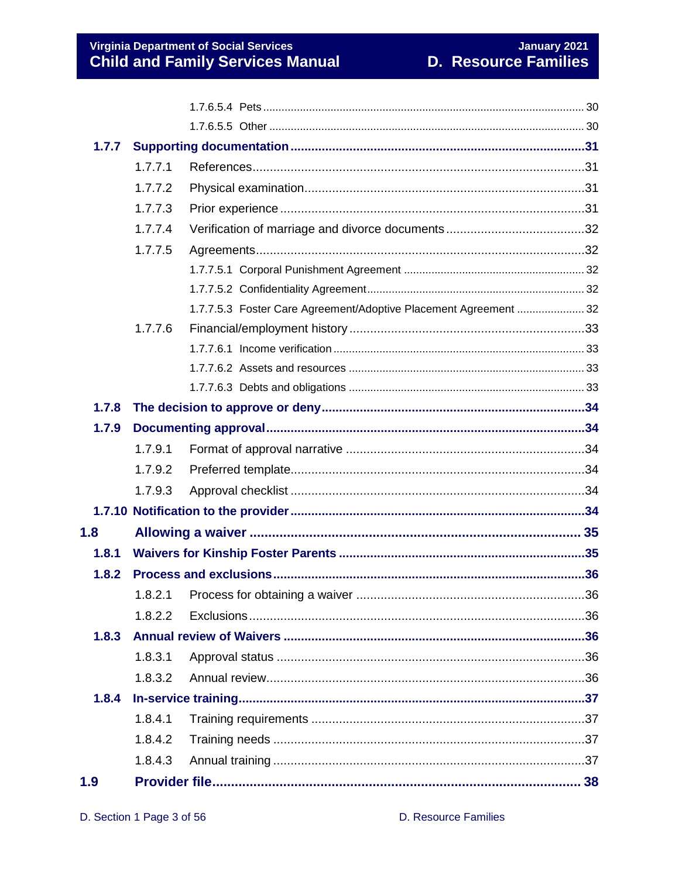| 1.7.7 |         |                                                                  |     |
|-------|---------|------------------------------------------------------------------|-----|
|       | 1.7.7.1 |                                                                  |     |
|       | 1.7.7.2 |                                                                  |     |
|       | 1.7.7.3 |                                                                  |     |
|       | 1.7.7.4 |                                                                  |     |
|       | 1.7.7.5 |                                                                  |     |
|       |         |                                                                  |     |
|       |         |                                                                  |     |
|       |         | 1.7.7.5.3 Foster Care Agreement/Adoptive Placement Agreement  32 |     |
|       | 1.7.7.6 |                                                                  |     |
|       |         |                                                                  |     |
|       |         |                                                                  |     |
|       |         |                                                                  |     |
| 1.7.8 |         |                                                                  |     |
| 1.7.9 |         |                                                                  |     |
|       | 1.7.9.1 |                                                                  |     |
|       | 1.7.9.2 |                                                                  |     |
|       | 1.7.9.3 |                                                                  |     |
|       |         |                                                                  |     |
| 1.8   |         |                                                                  |     |
| 1.8.1 |         |                                                                  |     |
| 1.8.2 |         |                                                                  |     |
|       |         |                                                                  | .36 |
|       | 1.8.2.2 |                                                                  |     |
| 1.8.3 |         |                                                                  |     |
|       | 1.8.3.1 |                                                                  |     |
|       | 1.8.3.2 |                                                                  |     |
| 1.8.4 |         |                                                                  |     |
|       | 1.8.4.1 |                                                                  |     |
|       | 1.8.4.2 |                                                                  |     |
|       | 1.8.4.3 |                                                                  |     |
| 1.9   |         |                                                                  |     |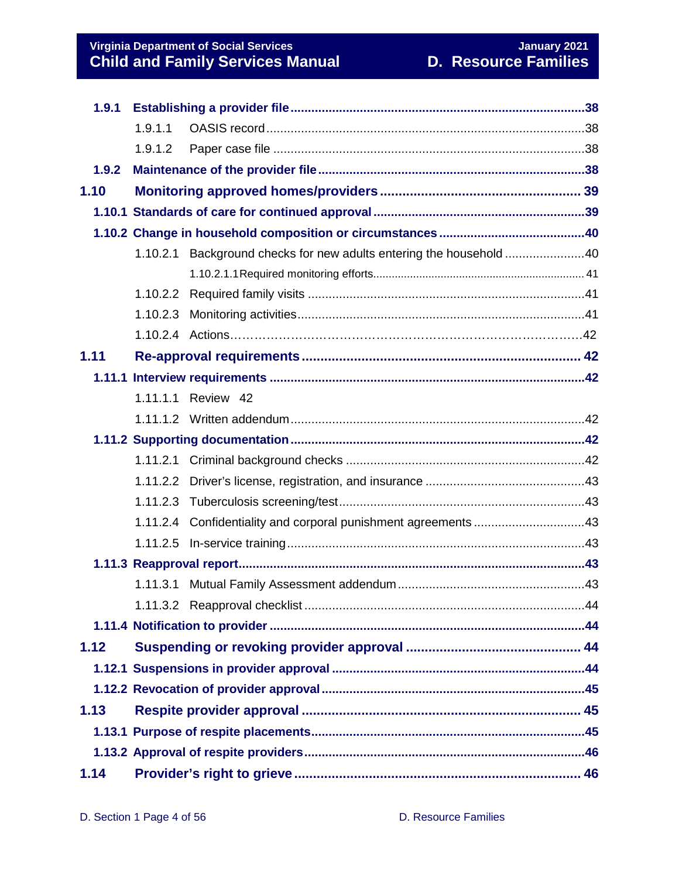**Virginia Department of Social Services January 2021 Child and Family Services Manual D. Resource Families**

| 1.9.1 |          |                                                                |  |  |
|-------|----------|----------------------------------------------------------------|--|--|
|       | 1.9.1.1  |                                                                |  |  |
|       | 1.9.1.2  |                                                                |  |  |
| 1.9.2 |          |                                                                |  |  |
| 1.10  |          |                                                                |  |  |
|       |          |                                                                |  |  |
|       |          |                                                                |  |  |
|       | 1.10.2.1 | Background checks for new adults entering the household 40     |  |  |
|       |          |                                                                |  |  |
|       |          |                                                                |  |  |
|       |          |                                                                |  |  |
|       |          |                                                                |  |  |
| 1.11  |          |                                                                |  |  |
|       |          |                                                                |  |  |
|       |          | 1.11.1.1 Review 42                                             |  |  |
|       |          |                                                                |  |  |
|       |          |                                                                |  |  |
|       |          |                                                                |  |  |
|       |          |                                                                |  |  |
|       |          |                                                                |  |  |
|       |          | 1.11.2.4 Confidentiality and corporal punishment agreements 43 |  |  |
|       |          |                                                                |  |  |
|       |          |                                                                |  |  |
|       |          |                                                                |  |  |
|       |          |                                                                |  |  |
|       |          |                                                                |  |  |
| 1.12  |          |                                                                |  |  |
|       |          |                                                                |  |  |
|       |          |                                                                |  |  |
| 1.13  |          |                                                                |  |  |
|       |          |                                                                |  |  |
|       |          |                                                                |  |  |
| 1.14  |          |                                                                |  |  |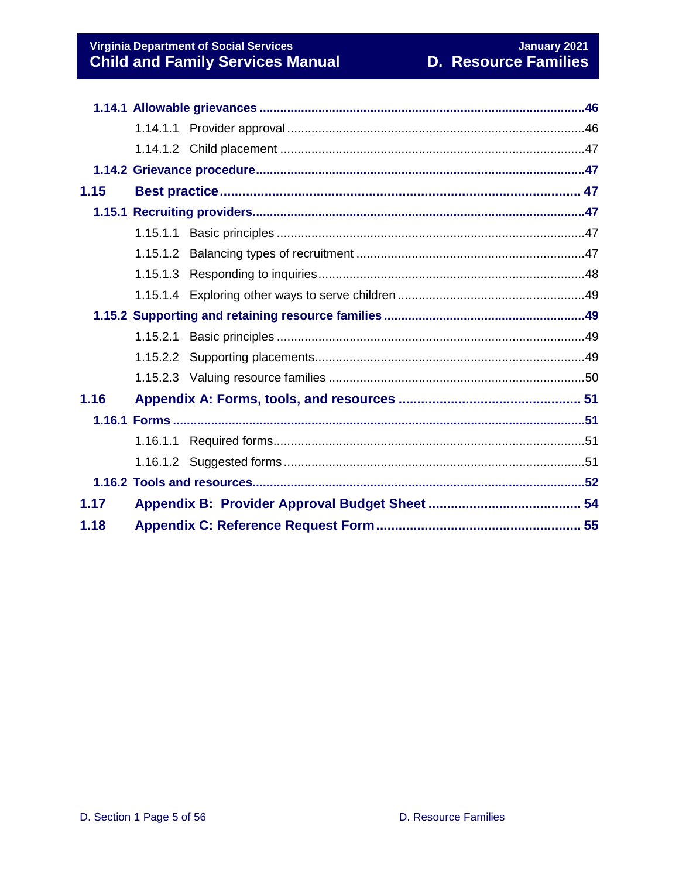| 1.15 |  |  |
|------|--|--|
|      |  |  |
|      |  |  |
|      |  |  |
|      |  |  |
|      |  |  |
|      |  |  |
|      |  |  |
|      |  |  |
|      |  |  |
| 1.16 |  |  |
|      |  |  |
|      |  |  |
|      |  |  |
|      |  |  |
| 1.17 |  |  |
| 1.18 |  |  |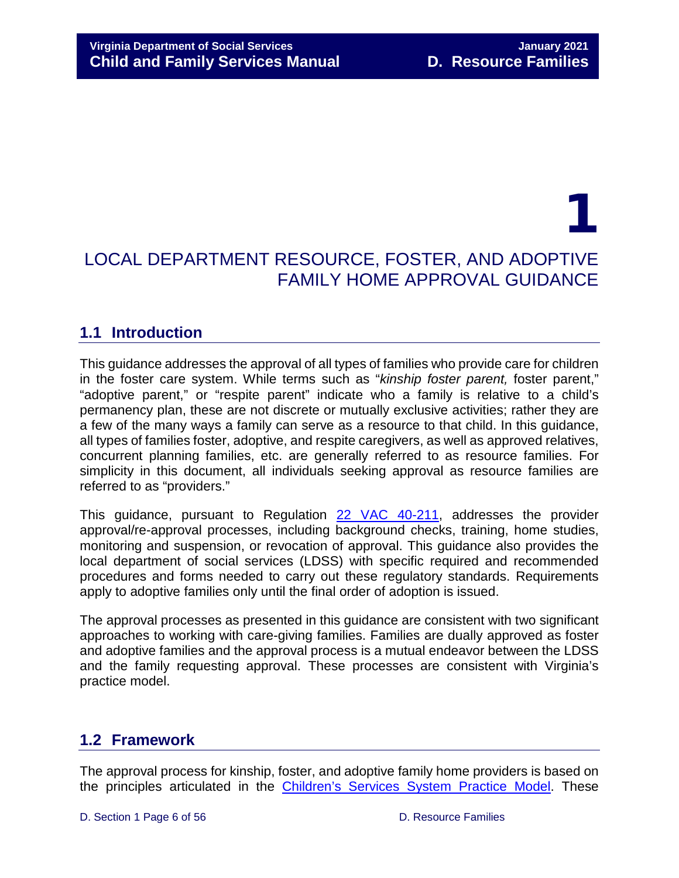## 1 LOCAL DEPARTMENT RESOURCE, FOSTER, AND ADOPTIVE FAMILY HOME APPROVAL GUIDANCE

## <span id="page-5-0"></span>**1.1 Introduction**

This guidance addresses the approval of all types of families who provide care for children in the foster care system. While terms such as "*kinship foster parent,* foster parent," "adoptive parent," or "respite parent" indicate who a family is relative to a child's permanency plan, these are not discrete or mutually exclusive activities; rather they are a few of the many ways a family can serve as a resource to that child. In this guidance, all types of families foster, adoptive, and respite caregivers, as well as approved relatives, concurrent planning families, etc. are generally referred to as resource families. For simplicity in this document, all individuals seeking approval as resource families are referred to as "providers."

This guidance, pursuant to Regulation [22 VAC 40-211,](https://law.lis.virginia.gov/admincode/title22/agency40/chapter211/section70/) addresses the provider approval/re-approval processes, including background checks, training, home studies, monitoring and suspension, or revocation of approval. This guidance also provides the local department of social services (LDSS) with specific required and recommended procedures and forms needed to carry out these regulatory standards. Requirements apply to adoptive families only until the final order of adoption is issued.

The approval processes as presented in this guidance are consistent with two significant approaches to working with care-giving families. Families are dually approved as foster and adoptive families and the approval process is a mutual endeavor between the LDSS and the family requesting approval. These processes are consistent with Virginia's practice model.

## <span id="page-5-1"></span>**1.2 Framework**

The approval process for kinship, foster, and adoptive family home providers is based on the principles articulated in the [Children's Services System Practice Model.](https://www.dss.virginia.gov/about/practice.cgi) These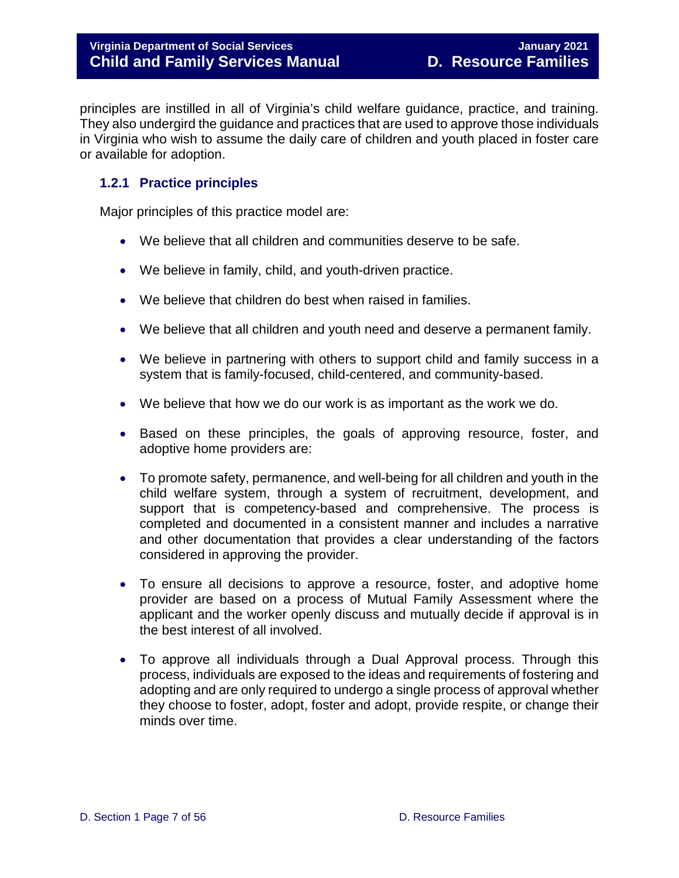principles are instilled in all of Virginia's child welfare guidance, practice, and training. They also undergird the guidance and practices that are used to approve those individuals in Virginia who wish to assume the daily care of children and youth placed in foster care or available for adoption.

#### <span id="page-6-0"></span>**1.2.1 Practice principles**

Major principles of this practice model are:

- We believe that all children and communities deserve to be safe.
- We believe in family, child, and youth-driven practice.
- We believe that children do best when raised in families.
- We believe that all children and youth need and deserve a permanent family.
- We believe in partnering with others to support child and family success in a system that is family-focused, child-centered, and community-based.
- We believe that how we do our work is as important as the work we do.
- Based on these principles, the goals of approving resource, foster, and adoptive home providers are:
- To promote safety, permanence, and well-being for all children and youth in the child welfare system, through a system of recruitment, development, and support that is competency-based and comprehensive. The process is completed and documented in a consistent manner and includes a narrative and other documentation that provides a clear understanding of the factors considered in approving the provider.
- To ensure all decisions to approve a resource, foster, and adoptive home provider are based on a process of Mutual Family Assessment where the applicant and the worker openly discuss and mutually decide if approval is in the best interest of all involved.
- To approve all individuals through a Dual Approval process. Through this process, individuals are exposed to the ideas and requirements of fostering and adopting and are only required to undergo a single process of approval whether they choose to foster, adopt, foster and adopt, provide respite, or change their minds over time.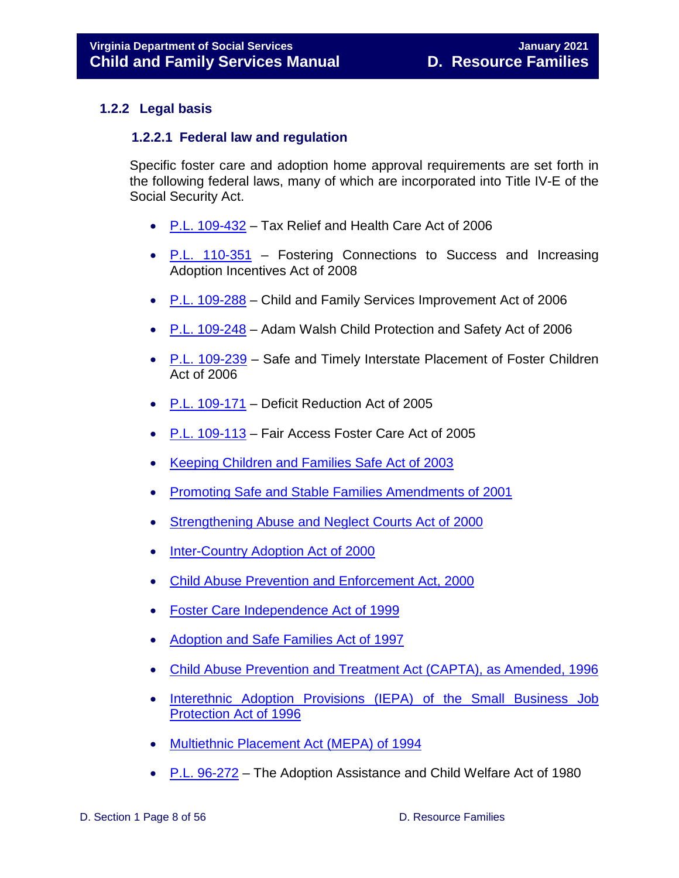#### <span id="page-7-1"></span><span id="page-7-0"></span>**1.2.2 Legal basis**

#### **1.2.2.1 Federal law and regulation**

Specific foster care and adoption home approval requirements are set forth in the following federal laws, many of which are incorporated into Title IV-E of the Social Security Act.

- [P.L. 109-432](https://www.acf.hhs.gov/cb/resource/pl-109-432) Tax Relief and Health Care Act of 2006
- [P.L. 110-351](https://www.acf.hhs.gov/cb/resource/pl-110-351) Fostering Connections to Success and Increasing Adoption Incentives Act of 2008
- [P.L. 109-288](https://www.acf.hhs.gov/cb/resource/pl-109-288) Child and Family Services Improvement Act of 2006
- [P.L. 109-248](https://www.acf.hhs.gov/cb/resource/pl-109-248) Adam Walsh Child Protection and Safety Act of 2006
- [P.L. 109-239](https://www.acf.hhs.gov/cb/resource/pl-109-239) Safe and Timely Interstate Placement of Foster Children Act of 2006
- [P.L. 109-171](https://www.acf.hhs.gov/cb/resource/pl-109-171) Deficit Reduction Act of 2005
- [P.L. 109-113](https://www.acf.hhs.gov/cb/resource/pl-109-113) Fair Access Foster Care Act of 2005
- [Keeping Children and Families Safe Act of 2003](https://www.acf.hhs.gov/sites/default/files/cb/nccan14_poster_session_2.pdf)
- [Promoting Safe and Stable Families Amendments of 2001](https://www.acf.hhs.gov/cb/resource/promoting-safe-and-stable-2001)
- [Strengthening Abuse and Neglect Courts Act of 2000](https://www.acf.hhs.gov/cb/resource/strengthening-abuse-and-neglect-courts-act-of-2000)
- [Inter-Country Adoption Act of 2000](https://www.acf.hhs.gov/cb/resource/intercountry-adoption-act-of-2000)
- [Child Abuse Prevention and Enforcement Act, 2000](https://www.acf.hhs.gov/cb/resource/child-abuse-enforcement-act-2000)
- [Foster Care Independence Act of 1999](https://www.acf.hhs.gov/cb/resource/foster-care-independence-act-1999)
- [Adoption and Safe Families Act of 1997](https://www.acf.hhs.gov/cb/resource/adoption-safe-families-act-1997)
- [Child Abuse Prevention and Treatment Act \(CAPTA\), as Amended, 1996](https://www.acf.hhs.gov/cb/resource/capta-amended-1996)
- [Interethnic Adoption Provisions \(IEPA\) of the Small Business Job](https://www.acf.hhs.gov/cb/resource/iepa-act-of-1996)  [Protection Act of 1996](https://www.acf.hhs.gov/cb/resource/iepa-act-of-1996)
- [Multiethnic Placement Act \(MEPA\) of 1994](https://www.acf.hhs.gov/sites/default/files/cb/mepa_powerpoint.pdf)
- [P.L. 96-272](https://www.ssa.gov/OP_Home/comp2/F096-272.html) The Adoption Assistance and Child Welfare Act of 1980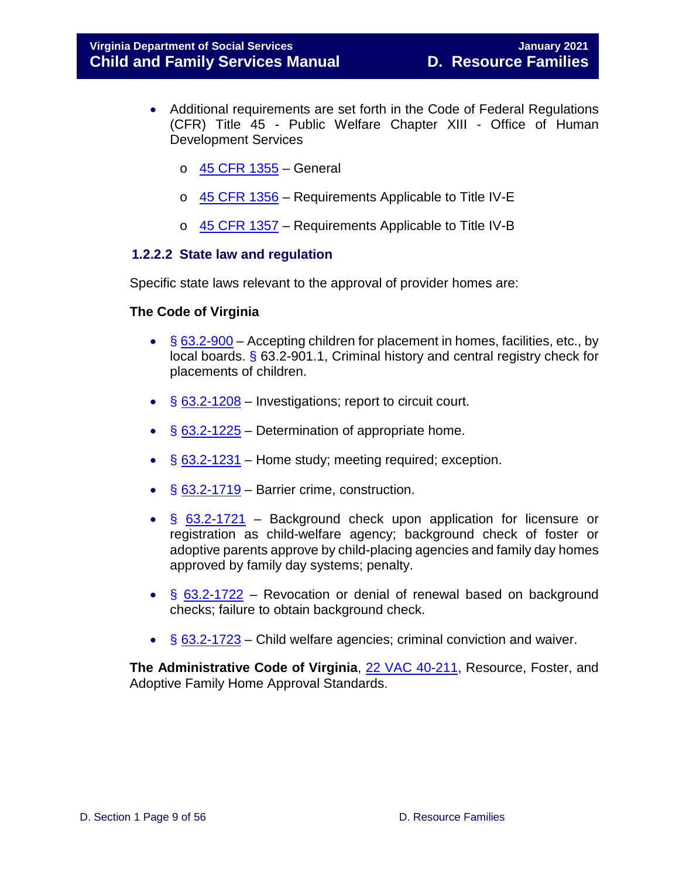- Additional requirements are set forth in the Code of Federal Regulations (CFR) Title 45 - Public Welfare Chapter XIII - Office of Human Development Services
	- $\circ$  [45 CFR 1355](https://www.acf.hhs.gov/cb/resource/afcars-fc-adoption-elements-appendix-45-part-1355) General
	- o [45 CFR 1356](https://www.law.cornell.edu/cfr/text/45/part-1356) Requirements Applicable to Title IV-E
	- o [45 CFR 1357](https://www.law.cornell.edu/cfr/text/45/part-1357) Requirements Applicable to Title IV-B

#### <span id="page-8-0"></span>**1.2.2.2 State law and regulation**

Specific state laws relevant to the approval of provider homes are:

#### **The Code of Virginia**

- § [63.2-900](https://law.lis.virginia.gov/vacode/title63.2/chapter9/section63.2-900/) Accepting children for placement in homes, facilities, etc., by local boards.  $\frac{6}{5}$  63.2-901.1, Criminal history and central registry check for placements of children.
- $§ 63.2 1208 -$  Investigations; report to circuit court.
- $\S$  [63.2-1225](https://law.lis.virginia.gov/vacode/title63.2/chapter12/section63.2-1225/) Determination of appropriate home.
- $\frac{6}{9}$  [63.2-1231](https://law.lis.virginia.gov/vacode/title63.2/chapter12/section63.2-1231/) Home study; meeting required; exception.
- § [63.2-1719](https://law.lis.virginia.gov/vacode/title63.2/chapter17/section63.2-1719/) Barrier crime, construction.
- § [63.2-1721](https://law.lis.virginia.gov/vacode/title63.2/chapter17/section63.2-1721/) Background check upon application for licensure or registration as child-welfare agency; background check of foster or adoptive parents approve by child-placing agencies and family day homes approved by family day systems; penalty.
- $\frac{63.2-1722}{ }$  $\frac{63.2-1722}{ }$  $\frac{63.2-1722}{ }$  Revocation or denial of renewal based on background checks; failure to obtain background check.
- § [63.2-1723](https://law.lis.virginia.gov/vacode/title63.2/chapter17/section63.2-1723/) Child welfare agencies; criminal conviction and waiver.

**The Administrative Code of Virginia**, [22 VAC 40-211,](https://law.lis.virginia.gov/admincode/title22/agency40/chapter211/section70/) Resource, Foster, and Adoptive Family Home Approval Standards.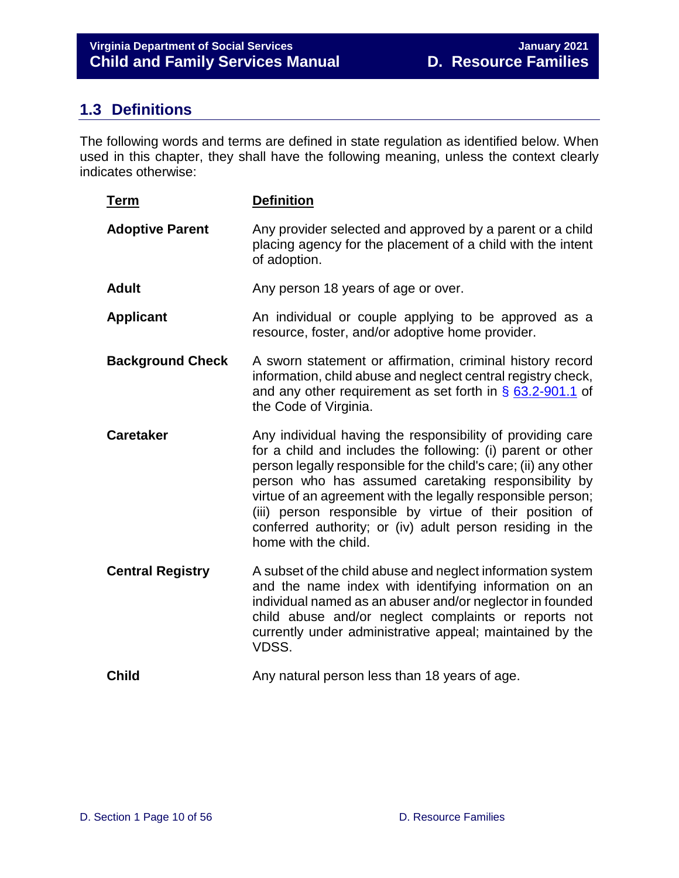## <span id="page-9-0"></span>**1.3 Definitions**

The following words and terms are defined in state regulation as identified below. When used in this chapter, they shall have the following meaning, unless the context clearly indicates otherwise:

| <b>Term</b>             | <b>Definition</b>                                                                                                                                                                                                                                                                                                                                                                                                                                                  |
|-------------------------|--------------------------------------------------------------------------------------------------------------------------------------------------------------------------------------------------------------------------------------------------------------------------------------------------------------------------------------------------------------------------------------------------------------------------------------------------------------------|
| <b>Adoptive Parent</b>  | Any provider selected and approved by a parent or a child<br>placing agency for the placement of a child with the intent<br>of adoption.                                                                                                                                                                                                                                                                                                                           |
| <b>Adult</b>            | Any person 18 years of age or over.                                                                                                                                                                                                                                                                                                                                                                                                                                |
| <b>Applicant</b>        | An individual or couple applying to be approved as a<br>resource, foster, and/or adoptive home provider.                                                                                                                                                                                                                                                                                                                                                           |
| <b>Background Check</b> | A sworn statement or affirmation, criminal history record<br>information, child abuse and neglect central registry check,<br>and any other requirement as set forth in $\S$ 63.2-901.1 of<br>the Code of Virginia.                                                                                                                                                                                                                                                 |
| <b>Caretaker</b>        | Any individual having the responsibility of providing care<br>for a child and includes the following: (i) parent or other<br>person legally responsible for the child's care; (ii) any other<br>person who has assumed caretaking responsibility by<br>virtue of an agreement with the legally responsible person;<br>(iii) person responsible by virtue of their position of<br>conferred authority; or (iv) adult person residing in the<br>home with the child. |
| <b>Central Registry</b> | A subset of the child abuse and neglect information system<br>and the name index with identifying information on an<br>individual named as an abuser and/or neglector in founded<br>child abuse and/or neglect complaints or reports not<br>currently under administrative appeal; maintained by the<br>VDSS.                                                                                                                                                      |
| <b>Child</b>            | Any natural person less than 18 years of age.                                                                                                                                                                                                                                                                                                                                                                                                                      |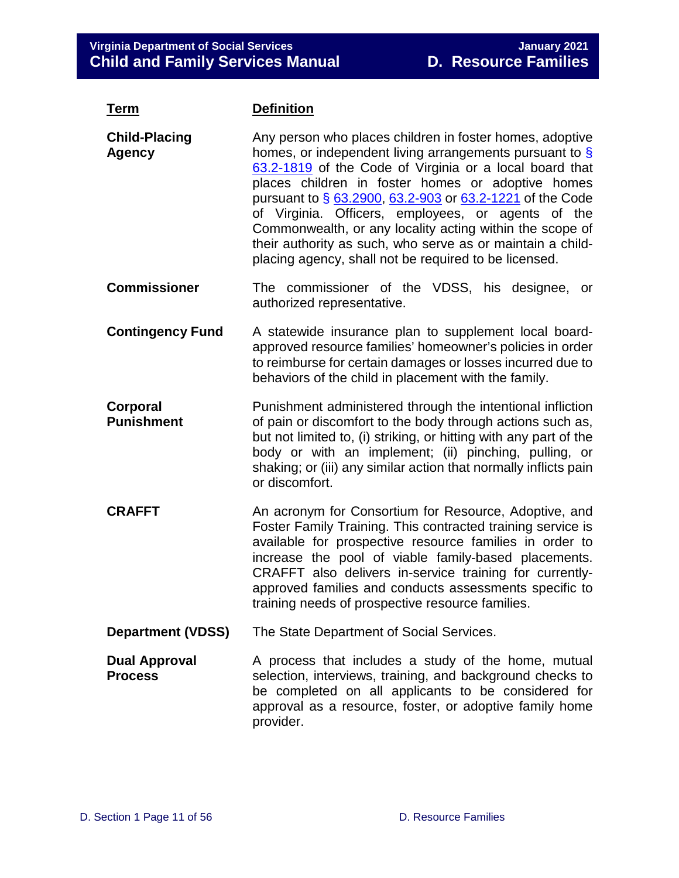| <b>Term</b>                            | <b>Definition</b>                                                                                                                                                                                                                                                                                                                                                                                                                                                                                                                                    |  |
|----------------------------------------|------------------------------------------------------------------------------------------------------------------------------------------------------------------------------------------------------------------------------------------------------------------------------------------------------------------------------------------------------------------------------------------------------------------------------------------------------------------------------------------------------------------------------------------------------|--|
| <b>Child-Placing</b><br><b>Agency</b>  | Any person who places children in foster homes, adoptive<br>homes, or independent living arrangements pursuant to $\frac{1}{5}$<br>63.2-1819 of the Code of Virginia or a local board that<br>places children in foster homes or adoptive homes<br>pursuant to § 63.2900, 63.2-903 or 63.2-1221 of the Code<br>of Virginia. Officers, employees, or agents of the<br>Commonwealth, or any locality acting within the scope of<br>their authority as such, who serve as or maintain a child-<br>placing agency, shall not be required to be licensed. |  |
| <b>Commissioner</b>                    | The commissioner of the VDSS, his designee, or<br>authorized representative.                                                                                                                                                                                                                                                                                                                                                                                                                                                                         |  |
| <b>Contingency Fund</b>                | A statewide insurance plan to supplement local board-<br>approved resource families' homeowner's policies in order<br>to reimburse for certain damages or losses incurred due to<br>behaviors of the child in placement with the family.                                                                                                                                                                                                                                                                                                             |  |
| Corporal<br><b>Punishment</b>          | Punishment administered through the intentional infliction<br>of pain or discomfort to the body through actions such as,<br>but not limited to, (i) striking, or hitting with any part of the<br>body or with an implement; (ii) pinching, pulling, or<br>shaking; or (iii) any similar action that normally inflicts pain<br>or discomfort.                                                                                                                                                                                                         |  |
| <b>CRAFFT</b>                          | An acronym for Consortium for Resource, Adoptive, and<br>Foster Family Training. This contracted training service is<br>available for prospective resource families in order to<br>increase the pool of viable family-based placements.<br>CRAFFT also delivers in-service training for currently-<br>approved families and conducts assessments specific to<br>training needs of prospective resource families.                                                                                                                                     |  |
| <b>Department (VDSS)</b>               | The State Department of Social Services.                                                                                                                                                                                                                                                                                                                                                                                                                                                                                                             |  |
| <b>Dual Approval</b><br><b>Process</b> | A process that includes a study of the home, mutual<br>selection, interviews, training, and background checks to<br>be completed on all applicants to be considered for<br>approval as a resource, foster, or adoptive family home<br>provider.                                                                                                                                                                                                                                                                                                      |  |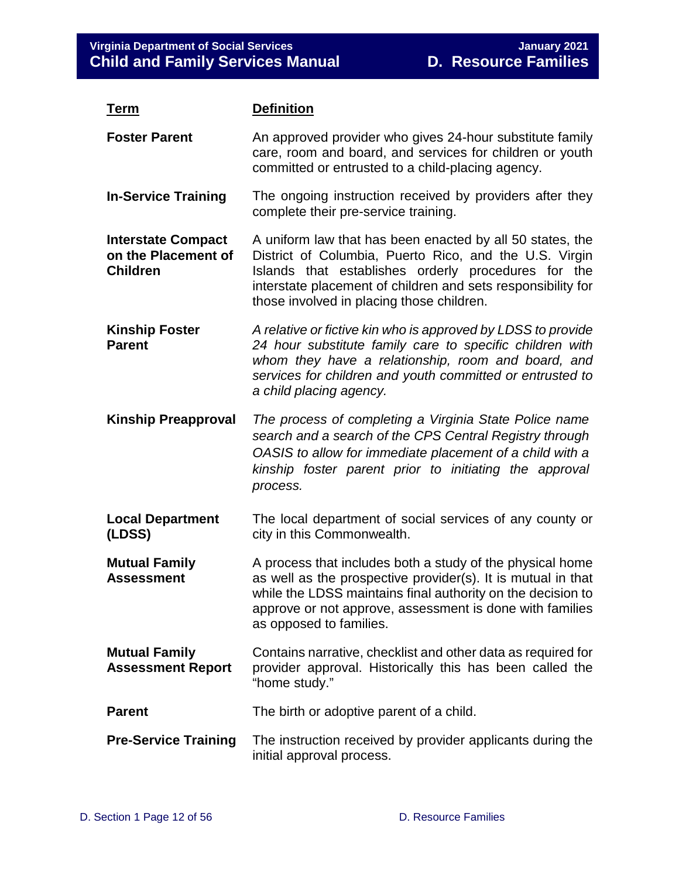| <u>Term</u>                                                         | <b>Definition</b>                                                                                                                                                                                                                                                                       |
|---------------------------------------------------------------------|-----------------------------------------------------------------------------------------------------------------------------------------------------------------------------------------------------------------------------------------------------------------------------------------|
| <b>Foster Parent</b>                                                | An approved provider who gives 24-hour substitute family<br>care, room and board, and services for children or youth<br>committed or entrusted to a child-placing agency.                                                                                                               |
| <b>In-Service Training</b>                                          | The ongoing instruction received by providers after they<br>complete their pre-service training.                                                                                                                                                                                        |
| <b>Interstate Compact</b><br>on the Placement of<br><b>Children</b> | A uniform law that has been enacted by all 50 states, the<br>District of Columbia, Puerto Rico, and the U.S. Virgin<br>Islands that establishes orderly procedures for the<br>interstate placement of children and sets responsibility for<br>those involved in placing those children. |
| <b>Kinship Foster</b><br><b>Parent</b>                              | A relative or fictive kin who is approved by LDSS to provide<br>24 hour substitute family care to specific children with<br>whom they have a relationship, room and board, and<br>services for children and youth committed or entrusted to<br>a child placing agency.                  |
| <b>Kinship Preapproval</b>                                          | The process of completing a Virginia State Police name<br>search and a search of the CPS Central Registry through<br>OASIS to allow for immediate placement of a child with a<br>kinship foster parent prior to initiating the approval<br>process.                                     |
| <b>Local Department</b><br>(LDSS)                                   | The local department of social services of any county or<br>city in this Commonwealth.                                                                                                                                                                                                  |
| <b>Mutual Family</b><br><b>Assessment</b>                           | A process that includes both a study of the physical home<br>as well as the prospective provider(s). It is mutual in that<br>while the LDSS maintains final authority on the decision to<br>approve or not approve, assessment is done with families<br>as opposed to families.         |
| <b>Mutual Family</b><br><b>Assessment Report</b>                    | Contains narrative, checklist and other data as required for<br>provider approval. Historically this has been called the<br>"home study."                                                                                                                                               |
| <b>Parent</b>                                                       | The birth or adoptive parent of a child.                                                                                                                                                                                                                                                |
| <b>Pre-Service Training</b>                                         | The instruction received by provider applicants during the<br>initial approval process.                                                                                                                                                                                                 |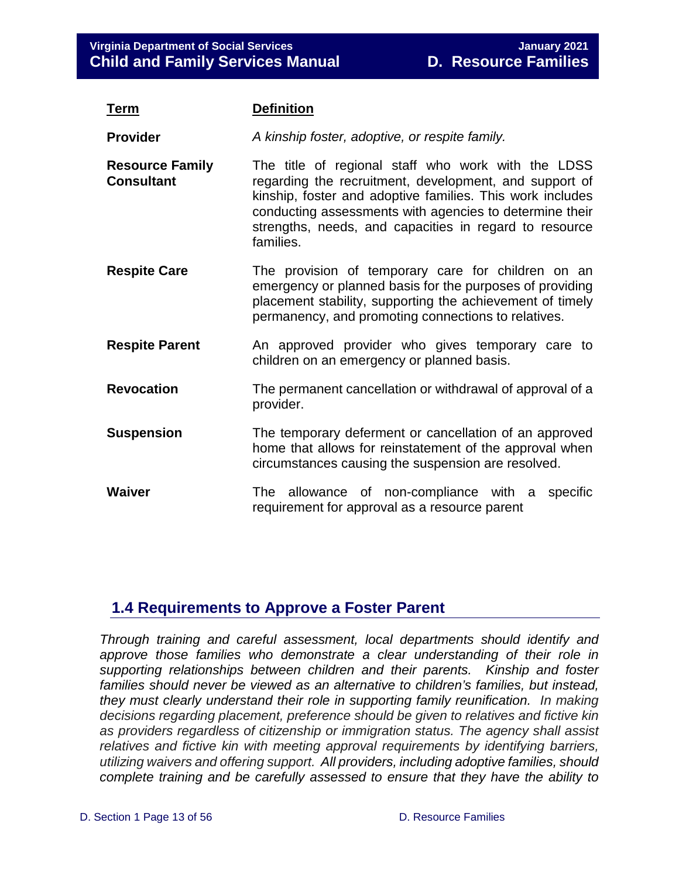| <u>Term</u>                                 | <b>Definition</b>                                                                                                                                                                                                                                                                                           |  |
|---------------------------------------------|-------------------------------------------------------------------------------------------------------------------------------------------------------------------------------------------------------------------------------------------------------------------------------------------------------------|--|
| <b>Provider</b>                             | A kinship foster, adoptive, or respite family.                                                                                                                                                                                                                                                              |  |
| <b>Resource Family</b><br><b>Consultant</b> | The title of regional staff who work with the LDSS<br>regarding the recruitment, development, and support of<br>kinship, foster and adoptive families. This work includes<br>conducting assessments with agencies to determine their<br>strengths, needs, and capacities in regard to resource<br>families. |  |
| <b>Respite Care</b>                         | The provision of temporary care for children on an<br>emergency or planned basis for the purposes of providing<br>placement stability, supporting the achievement of timely<br>permanency, and promoting connections to relatives.                                                                          |  |
| <b>Respite Parent</b>                       | An approved provider who gives temporary care to<br>children on an emergency or planned basis.                                                                                                                                                                                                              |  |
| <b>Revocation</b>                           | The permanent cancellation or withdrawal of approval of a<br>provider.                                                                                                                                                                                                                                      |  |
| <b>Suspension</b>                           | The temporary deferment or cancellation of an approved<br>home that allows for reinstatement of the approval when<br>circumstances causing the suspension are resolved.                                                                                                                                     |  |
| <b>Waiver</b>                               | The allowance of non-compliance with a<br>specific<br>requirement for approval as a resource parent                                                                                                                                                                                                         |  |

## <span id="page-12-0"></span>**1.4 Requirements to Approve a Foster Parent**

*Through training and careful assessment, local departments should identify and approve those families who demonstrate a clear understanding of their role in supporting relationships between children and their parents. Kinship and foster families should never be viewed as an alternative to children's families, but instead, they must clearly understand their role in supporting family reunification. In making decisions regarding placement, preference should be given to relatives and fictive kin as providers regardless of citizenship or immigration status. The agency shall assist relatives and fictive kin with meeting approval requirements by identifying barriers, utilizing waivers and offering support. All providers, including adoptive families, should complete training and be carefully assessed to ensure that they have the ability to*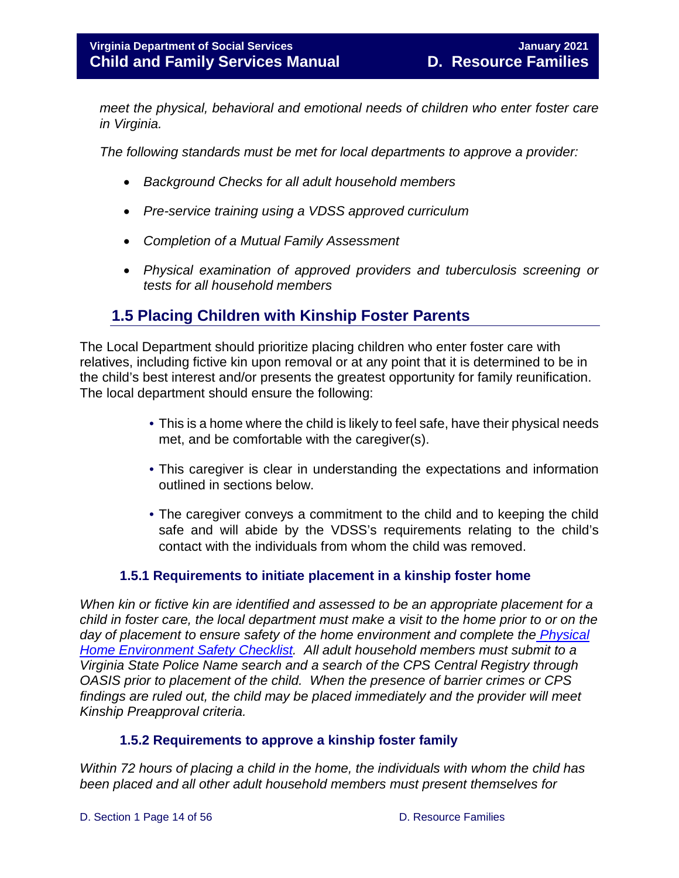*meet the physical, behavioral and emotional needs of children who enter foster care in Virginia.*

*The following standards must be met for local departments to approve a provider:*

- *Background Checks for all adult household members*
- *Pre-service training using a VDSS approved curriculum*
- *Completion of a Mutual Family Assessment*
- *Physical examination of approved providers and tuberculosis screening or tests for all household members*

## <span id="page-13-0"></span>**1.5 Placing Children with Kinship Foster Parents**

The Local Department should prioritize placing children who enter foster care with relatives, including fictive kin upon removal or at any point that it is determined to be in the child's best interest and/or presents the greatest opportunity for family reunification. The local department should ensure the following:

- This is a home where the child is likely to feel safe, have their physical needs met, and be comfortable with the caregiver(s).
- This caregiver is clear in understanding the expectations and information outlined in sections below.
- The caregiver conveys a commitment to the child and to keeping the child safe and will abide by the VDSS's requirements relating to the child's contact with the individuals from whom the child was removed.

#### **1.5.1 Requirements to initiate placement in a kinship foster home**

<span id="page-13-1"></span>*When kin or fictive kin are identified and assessed to be an appropriate placement for a child in foster care, the local department must make a visit to the home prior to or on the*  day of placement to ensure safety of the home environment and complete the *Physical [Home Environment Safety Checklist.](https://fusion.dss.virginia.gov/Portals/%5Bdfs%5D/Files/Family%20Recruitment/Family%20Recruitment%20Forms/Physical%20Home%20Enviornment%20Safety%20Checklist%20final%20-%20protected.docx) All adult household members must submit to a Virginia State Police Name search and a search of the CPS Central Registry through OASIS prior to placement of the child. When the presence of barrier crimes or CPS findings are ruled out, the child may be placed immediately and the provider will meet Kinship Preapproval criteria.*

#### **1.5.2 Requirements to approve a kinship foster family**

<span id="page-13-2"></span>*Within 72 hours of placing a child in the home, the individuals with whom the child has been placed and all other adult household members must present themselves for*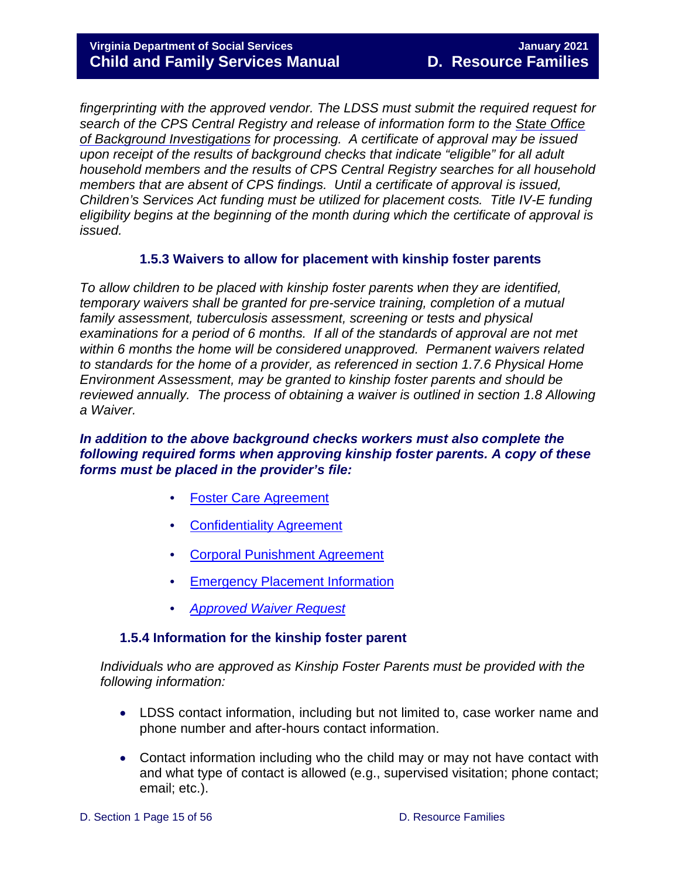*fingerprinting with the approved vendor. The LDSS must submit the required request for search of the CPS Central Registry and release of information form to the State Office of Background Investigations for processing. A certificate of approval may be issued upon receipt of the results of background checks that indicate "eligible" for all adult household members and the results of CPS Central Registry searches for all household members that are absent of CPS findings. Until a certificate of approval is issued, Children's Services Act funding must be utilized for placement costs. Title IV-E funding eligibility begins at the beginning of the month during which the certificate of approval is issued.*

#### **1.5.3 Waivers to allow for placement with kinship foster parents**

<span id="page-14-0"></span>*To allow children to be placed with kinship foster parents when they are identified, temporary waivers shall be granted for pre-service training, completion of a mutual family assessment, tuberculosis assessment, screening or tests and physical*  examinations for a period of 6 months. If all of the standards of approval are not met *within 6 months the home will be considered unapproved. Permanent waivers related to standards for the home of a provider, as referenced in section 1.7.6 Physical Home Environment Assessment, may be granted to kinship foster parents and should be reviewed annually. The process of obtaining a waiver is outlined in section 1.8 Allowing a Waiver.*

#### *In addition to the above background checks workers must also complete the following required forms when approving kinship foster parents. A copy of these forms must be placed in the provider's file:*

- [Foster Care Agreement](https://fusion.dss.virginia.gov/Portals/%5Bdfs%5D/Files/DFS%20FORMS/Family%20Services-Generic%20Forms/Foster%20Care%20Agreement%20with%20Code%20of%20Ethics%20and%20Mutual%20Responsibilities.pdf)
- [Confidentiality Agreement](https://fusion.dss.virginia.gov/Portals/%5Bdfs%5D/Files/Family%20Recruitment/Family%20Recruitment%20Forms/Confidentiality%20Agreement.doc)
- [Corporal Punishment Agreement](https://fusion.dss.virginia.gov/Portals/%5Bdfs%5D/Files/Family%20Recruitment/Family%20Recruitment%20Forms/Corporal%20Punishment%20Agreement.doc)
- [Emergency Placement Information](https://fusion.dss.virginia.gov/Portals/%5Bdfs%5D/Files/Family%20Recruitment/Family%20Recruitment%20Forms/Emergency%20Placement%20Information.doc)
- *[Approved Waiver](https://fusion.dss.virginia.gov/Portals/%5Bdfs%5D/Files/Family%20Recruitment/Family%20Recruitment%20Forms/kinship%20waiver%20request%20form.docx) Request*

#### **1.5.4 Information for the kinship foster parent**

<span id="page-14-1"></span>*Individuals who are approved as Kinship Foster Parents must be provided with the following information:* 

- LDSS contact information, including but not limited to, case worker name and phone number and after-hours contact information.
- Contact information including who the child may or may not have contact with and what type of contact is allowed (e.g., supervised visitation; phone contact; email; etc.).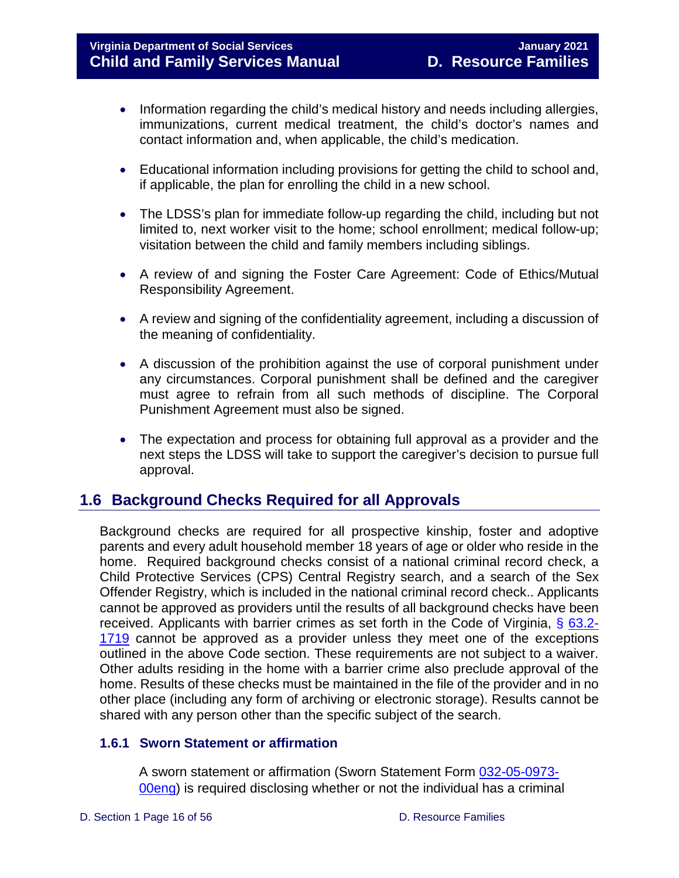- Information regarding the child's medical history and needs including allergies, immunizations, current medical treatment, the child's doctor's names and contact information and, when applicable, the child's medication.
- Educational information including provisions for getting the child to school and, if applicable, the plan for enrolling the child in a new school.
- The LDSS's plan for immediate follow-up regarding the child, including but not limited to, next worker visit to the home; school enrollment; medical follow-up; visitation between the child and family members including siblings.
- A review of and signing the Foster Care Agreement: Code of Ethics/Mutual Responsibility Agreement.
- A review and signing of the confidentiality agreement, including a discussion of the meaning of confidentiality.
- A discussion of the prohibition against the use of corporal punishment under any circumstances. Corporal punishment shall be defined and the caregiver must agree to refrain from all such methods of discipline. The Corporal Punishment Agreement must also be signed.
- The expectation and process for obtaining full approval as a provider and the next steps the LDSS will take to support the caregiver's decision to pursue full approval.

## <span id="page-15-0"></span>**1.6 Background Checks Required for all Approvals**

Background checks are required for all prospective kinship, foster and adoptive parents and every adult household member 18 years of age or older who reside in the home. Required background checks consist of a national criminal record check, a Child Protective Services (CPS) Central Registry search, and a search of the Sex Offender Registry, which is included in the national criminal record check.. Applicants cannot be approved as providers until the results of all background checks have been received. Applicants with barrier crimes as set forth in the Code of Virginia, § [63.2-](https://law.lis.virginia.gov/vacode/title63.2/chapter17/section63.2-1719/) [1719](https://law.lis.virginia.gov/vacode/title63.2/chapter17/section63.2-1719/) cannot be approved as a provider unless they meet one of the exceptions outlined in the above Code section. These requirements are not subject to a waiver. Other adults residing in the home with a barrier crime also preclude approval of the home. Results of these checks must be maintained in the file of the provider and in no other place (including any form of archiving or electronic storage). Results cannot be shared with any person other than the specific subject of the search.

#### <span id="page-15-1"></span>**1.6.1 Sworn Statement or affirmation**

A sworn statement or affirmation (Sworn Statement Form [032-05-0973-](https://fusion.dss.virginia.gov/Portals/%5bdfs%5d/Files/Family%20Recruitment/Family%20Recruitment%20Forms/Sworn%20Statement%20of%20Affirmation%20for%20Foster%20and%20Adoptive%20Parents.doc?ver=2019-05-28-100337-247) [00eng\)](https://fusion.dss.virginia.gov/Portals/%5bdfs%5d/Files/Family%20Recruitment/Family%20Recruitment%20Forms/Sworn%20Statement%20of%20Affirmation%20for%20Foster%20and%20Adoptive%20Parents.doc?ver=2019-05-28-100337-247) is required disclosing whether or not the individual has a criminal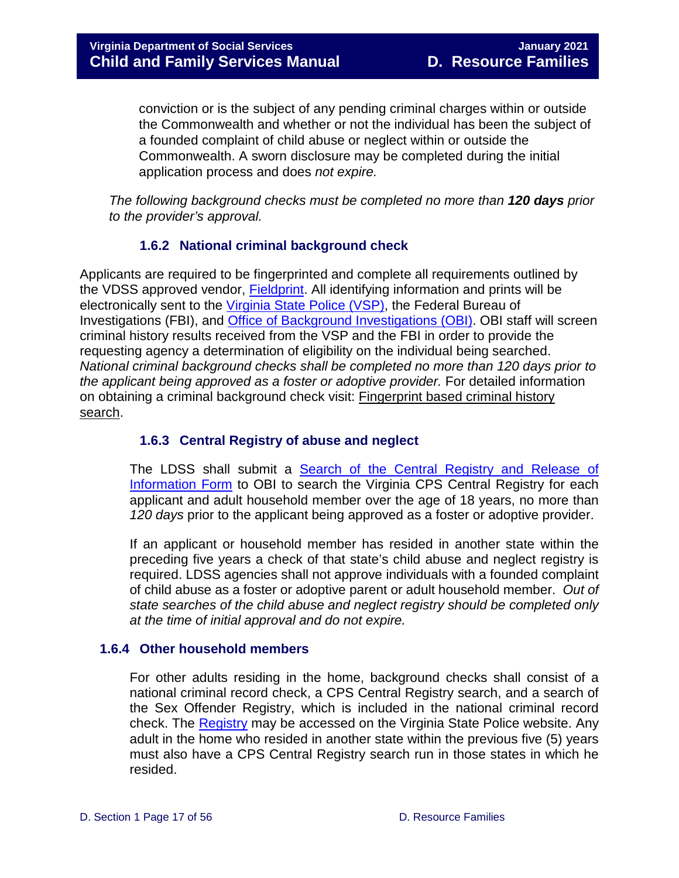conviction or is the subject of any pending criminal charges within or outside the Commonwealth and whether or not the individual has been the subject of a founded complaint of child abuse or neglect within or outside the Commonwealth. A sworn disclosure may be completed during the initial application process and does *not expire.*

*The following background checks must be completed no more than 120 days prior to the provider's approval.*

#### **1.6.2 National criminal background check**

<span id="page-16-0"></span>Applicants are required to be fingerprinted and complete all requirements outlined by the VDSS approved vendor, [Fieldprint.](https://fieldprintvirginia.com/) All identifying information and prints will be electronically sent to the [Virginia State Police \(VSP\),](https://www.vsp.virginia.gov/CJIS_Criminal_Record_Check.shtm) the Federal Bureau of Investigations (FBI), and [Office of Background Investigations \(OBI\).](https://www.dss.virginia.gov/family/background_investigations.cgi) OBI staff will screen criminal history results received from the VSP and the FBI in order to provide the requesting agency a determination of eligibility on the individual being searched. *National criminal background checks shall be completed no more than 120 days prior to the applicant being approved as a foster or adoptive provider.* For detailed information on obtaining a criminal background check visit: Fingerprint based criminal history search.

#### <span id="page-16-1"></span>**1.6.3 Central Registry of abuse and neglect**

The LDSS shall submit a **Search of the Central Registry and Release of** [Information Form](https://fusion.dss.virginia.gov/Portals/%5bdfs%5d/Files/DFS%20FORMS/CPS%20Forms/Central_Registry_Search_Form.pdf?ver=2019-05-13-100712-540) to OBI to search the Virginia CPS Central Registry for each applicant and adult household member over the age of 18 years, no more than *120 days* prior to the applicant being approved as a foster or adoptive provider.

If an applicant or household member has resided in another state within the preceding five years a check of that state's child abuse and neglect registry is required. LDSS agencies shall not approve individuals with a founded complaint of child abuse as a foster or adoptive parent or adult household member. *Out of state searches of the child abuse and neglect registry should be completed only at the time of initial approval and do not expire.*

#### <span id="page-16-2"></span>**1.6.4 Other household members**

For other adults residing in the home, background checks shall consist of a national criminal record check, a CPS Central Registry search, and a search of the Sex Offender Registry, which is included in the national criminal record check. The [Registry](https://sex-offender.vsp.virginia.gov/sor/executeNameSearch.html) may be accessed on the Virginia State Police website. Any adult in the home who resided in another state within the previous five (5) years must also have a CPS Central Registry search run in those states in which he resided.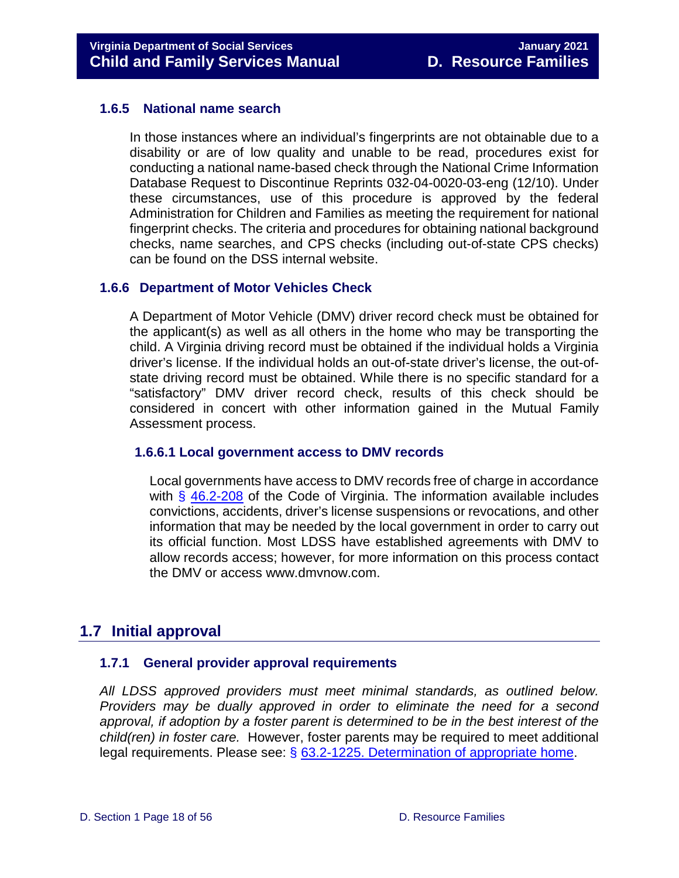#### **1.6.5 National name search**

<span id="page-17-0"></span>In those instances where an individual's fingerprints are not obtainable due to a disability or are of low quality and unable to be read, procedures exist for conducting a national name-based check through the National Crime Information Database Request to Discontinue Reprints 032-04-0020-03-eng (12/10). Under these circumstances, use of this procedure is approved by the federal Administration for Children and Families as meeting the requirement for national fingerprint checks. The criteria and procedures for obtaining national background checks, name searches, and CPS checks (including out-of-state CPS checks) can be found on the DSS internal website.

#### <span id="page-17-1"></span>**1.6.6 Department of Motor Vehicles Check**

A Department of Motor Vehicle (DMV) driver record check must be obtained for the applicant(s) as well as all others in the home who may be transporting the child. A Virginia driving record must be obtained if the individual holds a Virginia driver's license. If the individual holds an out-of-state driver's license, the out-ofstate driving record must be obtained. While there is no specific standard for a "satisfactory" DMV driver record check, results of this check should be considered in concert with other information gained in the Mutual Family Assessment process.

#### <span id="page-17-2"></span>**1.6.6.1 Local government access to DMV records**

Local governments have access to DMV records free of charge in accordance with  $\frac{6}{5}$  [46.2-208](https://law.lis.virginia.gov/vacode/title46.2/chapter2/section46.2-208/) of the Code of Virginia. The information available includes convictions, accidents, driver's license suspensions or revocations, and other information that may be needed by the local government in order to carry out its official function. Most LDSS have established agreements with DMV to allow records access; however, for more information on this process contact the DMV or access www.dmvnow.com.

## <span id="page-17-3"></span>**1.7 Initial approval**

#### <span id="page-17-4"></span>**1.7.1 General provider approval requirements**

*All LDSS approved providers must meet minimal standards, as outlined below. Providers may be dually approved in order to eliminate the need for a second approval, if adoption by a foster parent is determined to be in the best interest of the child(ren) in foster care.* However, foster parents may be required to meet additional legal requirements. Please see: § [63.2-1225. Determination of appropriate home.](https://law.lis.virginia.gov/vacode/title63.2/chapter12/section63.2-1225/)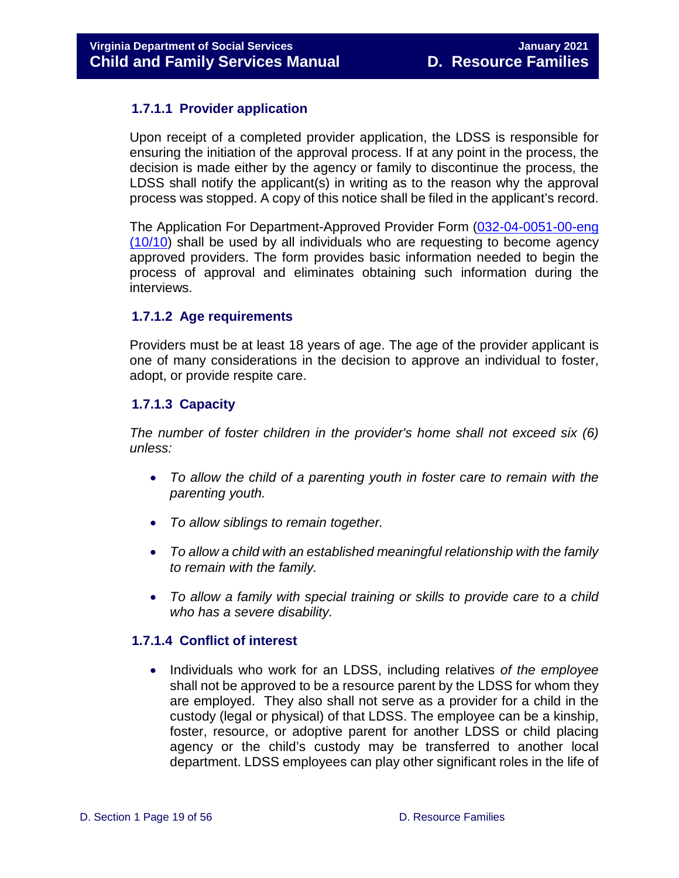#### <span id="page-18-0"></span>**1.7.1.1 Provider application**

Upon receipt of a completed provider application, the LDSS is responsible for ensuring the initiation of the approval process. If at any point in the process, the decision is made either by the agency or family to discontinue the process, the LDSS shall notify the applicant(s) in writing as to the reason why the approval process was stopped. A copy of this notice shall be filed in the applicant's record.

The Application For Department-Approved Provider Form [\(032-04-0051-00-eng](https://fusion.dss.virginia.gov/Portals/%5Bdfs%5D/Files/Family%20Recruitment/Family%20Recruitment%20Forms/Application%20for%20Department%20Approved%20Provider.doc)  [\(10/10\)](https://fusion.dss.virginia.gov/Portals/%5Bdfs%5D/Files/Family%20Recruitment/Family%20Recruitment%20Forms/Application%20for%20Department%20Approved%20Provider.doc) shall be used by all individuals who are requesting to become agency approved providers. The form provides basic information needed to begin the process of approval and eliminates obtaining such information during the interviews.

#### <span id="page-18-1"></span>**1.7.1.2 Age requirements**

Providers must be at least 18 years of age. The age of the provider applicant is one of many considerations in the decision to approve an individual to foster, adopt, or provide respite care.

#### <span id="page-18-2"></span>**1.7.1.3 Capacity**

*The number of foster children in the provider's home shall not exceed six (6) unless:* 

- *To allow the child of a parenting youth in foster care to remain with the parenting youth.*
- *To allow siblings to remain together.*
- *To allow a child with an established meaningful relationship with the family to remain with the family.*
- *To allow a family with special training or skills to provide care to a child who has a severe disability.*

#### <span id="page-18-3"></span>**1.7.1.4 Conflict of interest**

• Individuals who work for an LDSS, including relatives *of the employee* shall not be approved to be a resource parent by the LDSS for whom they are employed. They also shall not serve as a provider for a child in the custody (legal or physical) of that LDSS. The employee can be a kinship, foster, resource, or adoptive parent for another LDSS or child placing agency or the child's custody may be transferred to another local department. LDSS employees can play other significant roles in the life of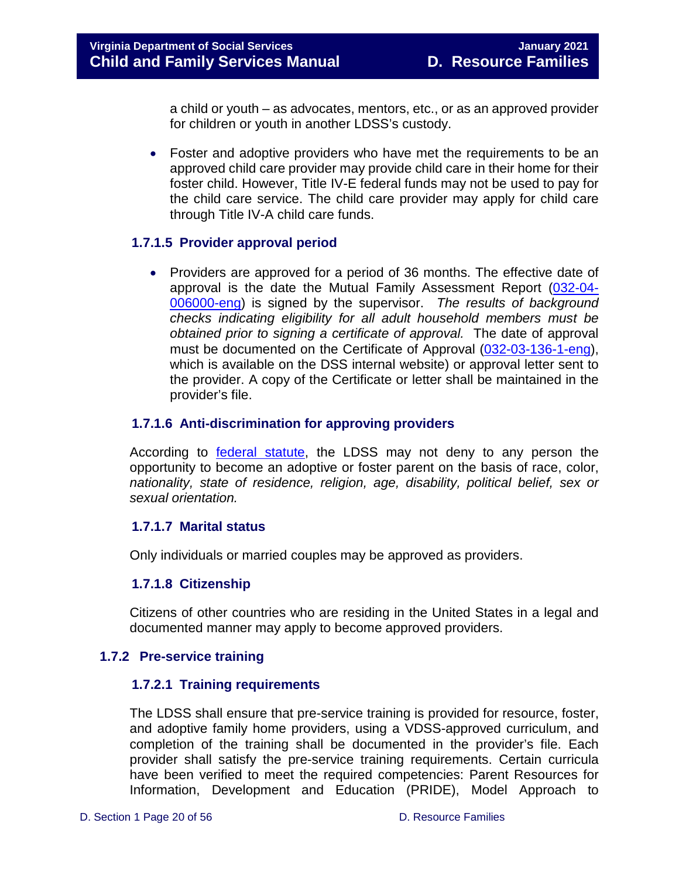a child or youth – as advocates, mentors, etc., or as an approved provider for children or youth in another LDSS's custody.

• Foster and adoptive providers who have met the requirements to be an approved child care provider may provide child care in their home for their foster child. However, Title IV-E federal funds may not be used to pay for the child care service. The child care provider may apply for child care through Title IV-A child care funds.

#### <span id="page-19-0"></span>**1.7.1.5 Provider approval period**

• Providers are approved for a period of 36 months. The effective date of approval is the date the Mutual Family Assessment Report [\(032-04-](https://fusion.dss.virginia.gov/Portals/%5Bdfs%5D/Files/Family%20Recruitment/Family%20Recruitment%20Forms/Mutual%20Family%20Assessment.doc) [006000-eng\)](https://fusion.dss.virginia.gov/Portals/%5Bdfs%5D/Files/Family%20Recruitment/Family%20Recruitment%20Forms/Mutual%20Family%20Assessment.doc) is signed by the supervisor. *The results of background checks indicating eligibility for all adult household members must be obtained prior to signing a certificate of approval.* The date of approval must be documented on the Certificate of Approval [\(032-03-136-1-eng\)](https://fusion.dss.virginia.gov/Portals/%5Bdfs%5D/Files/Family%20Recruitment/Family%20Recruitment%20Forms/Certificate%20of%20Approval%20%28LDSS%29.doc), which is available on the DSS internal website) or approval letter sent to the provider. A copy of the Certificate or letter shall be maintained in the provider's file.

#### <span id="page-19-1"></span>**1.7.1.6 Anti-discrimination for approving providers**

According to [federal statute,](https://www.hhs.gov/civil-rights/for-individuals/special-topics/adoption/index.html) the LDSS may not deny to any person the opportunity to become an adoptive or foster parent on the basis of race, color, *nationality, state of residence, religion, age, disability, political belief, sex or sexual orientation.*

#### <span id="page-19-2"></span>**1.7.1.7 Marital status**

Only individuals or married couples may be approved as providers.

#### <span id="page-19-3"></span>**1.7.1.8 Citizenship**

Citizens of other countries who are residing in the United States in a legal and documented manner may apply to become approved providers.

#### <span id="page-19-5"></span><span id="page-19-4"></span>**1.7.2 Pre-service training**

#### **1.7.2.1 Training requirements**

The LDSS shall ensure that pre-service training is provided for resource, foster, and adoptive family home providers, using a VDSS-approved curriculum, and completion of the training shall be documented in the provider's file. Each provider shall satisfy the pre-service training requirements. Certain curricula have been verified to meet the required competencies: Parent Resources for Information, Development and Education (PRIDE), Model Approach to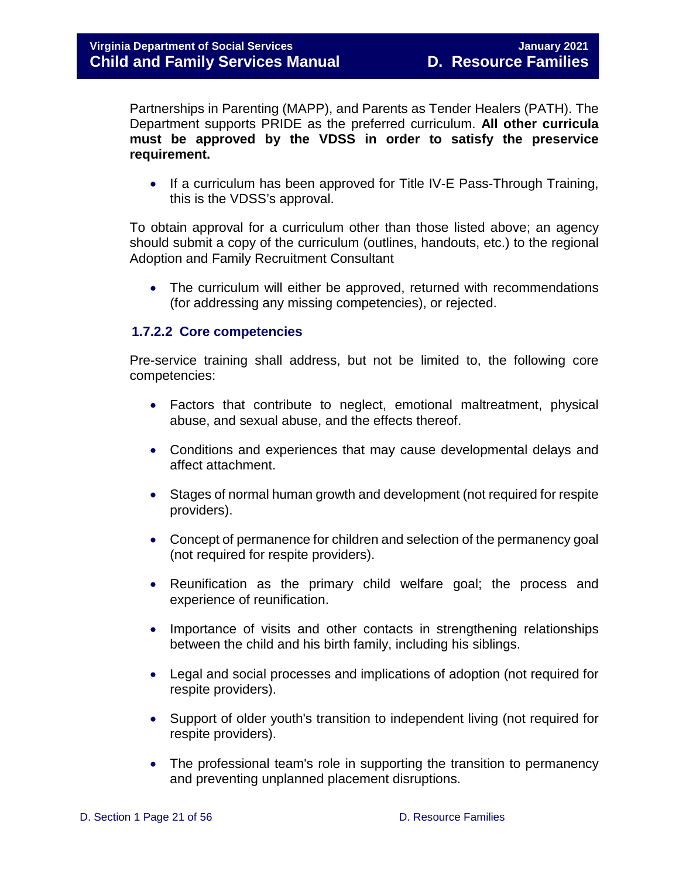Partnerships in Parenting (MAPP), and Parents as Tender Healers (PATH). The Department supports PRIDE as the preferred curriculum. **All other curricula must be approved by the VDSS in order to satisfy the preservice requirement.**

• If a curriculum has been approved for Title IV-E Pass-Through Training, this is the VDSS's approval.

To obtain approval for a curriculum other than those listed above; an agency should submit a copy of the curriculum (outlines, handouts, etc.) to the regional Adoption and Family Recruitment Consultant

• The curriculum will either be approved, returned with recommendations (for addressing any missing competencies), or rejected.

#### <span id="page-20-0"></span>**1.7.2.2 Core competencies**

Pre-service training shall address, but not be limited to, the following core competencies:

- Factors that contribute to neglect, emotional maltreatment, physical abuse, and sexual abuse, and the effects thereof.
- Conditions and experiences that may cause developmental delays and affect attachment.
- Stages of normal human growth and development (not required for respite providers).
- Concept of permanence for children and selection of the permanency goal (not required for respite providers).
- Reunification as the primary child welfare goal; the process and experience of reunification.
- Importance of visits and other contacts in strengthening relationships between the child and his birth family, including his siblings.
- Legal and social processes and implications of adoption (not required for respite providers).
- Support of older youth's transition to independent living (not required for respite providers).
- The professional team's role in supporting the transition to permanency and preventing unplanned placement disruptions.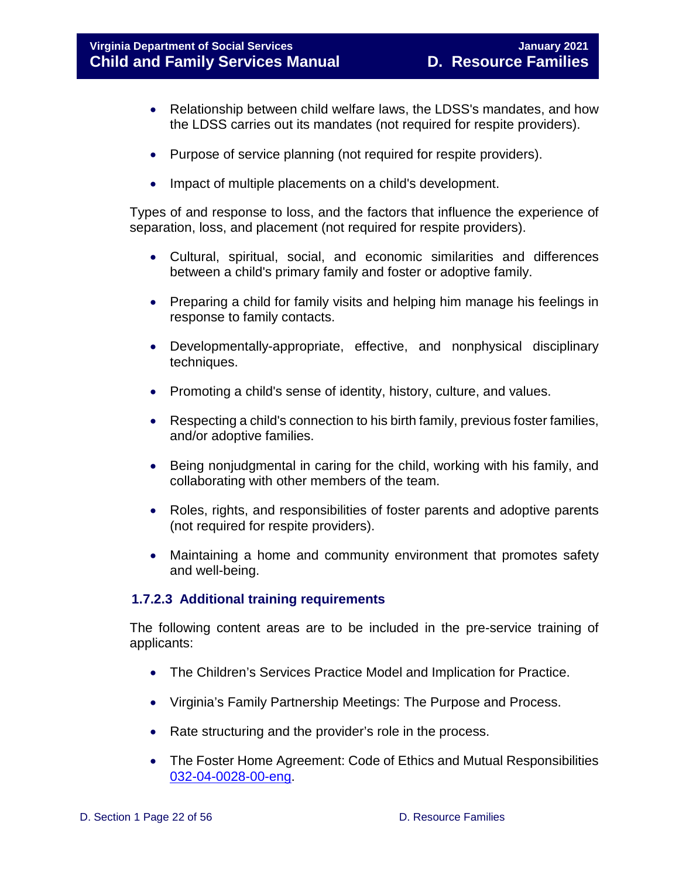#### **Virginia Department of Social Services January 2021 Child and Family Services Manual D. Resource Families**

- Relationship between child welfare laws, the LDSS's mandates, and how the LDSS carries out its mandates (not required for respite providers).
- Purpose of service planning (not required for respite providers).
- Impact of multiple placements on a child's development.

Types of and response to loss, and the factors that influence the experience of separation, loss, and placement (not required for respite providers).

- Cultural, spiritual, social, and economic similarities and differences between a child's primary family and foster or adoptive family.
- Preparing a child for family visits and helping him manage his feelings in response to family contacts.
- Developmentally-appropriate, effective, and nonphysical disciplinary techniques.
- Promoting a child's sense of identity, history, culture, and values.
- Respecting a child's connection to his birth family, previous foster families, and/or adoptive families.
- Being nonjudgmental in caring for the child, working with his family, and collaborating with other members of the team.
- Roles, rights, and responsibilities of foster parents and adoptive parents (not required for respite providers).
- Maintaining a home and community environment that promotes safety and well-being.

#### <span id="page-21-0"></span>**1.7.2.3 Additional training requirements**

The following content areas are to be included in the pre-service training of applicants:

- The Children's Services Practice Model and Implication for Practice.
- Virginia's Family Partnership Meetings: The Purpose and Process.
- Rate structuring and the provider's role in the process.
- The Foster Home Agreement: Code of Ethics and Mutual Responsibilities [032-04-0028-00-eng.](https://fusion.dss.virginia.gov/Portals/%5Bdfs%5D/Files/DFS%20FORMS/Family%20Services-Generic%20Forms/Foster%20Care%20Agreement%20with%20Code%20of%20Ethics%20and%20Mutual%20Responsibilities.pdf)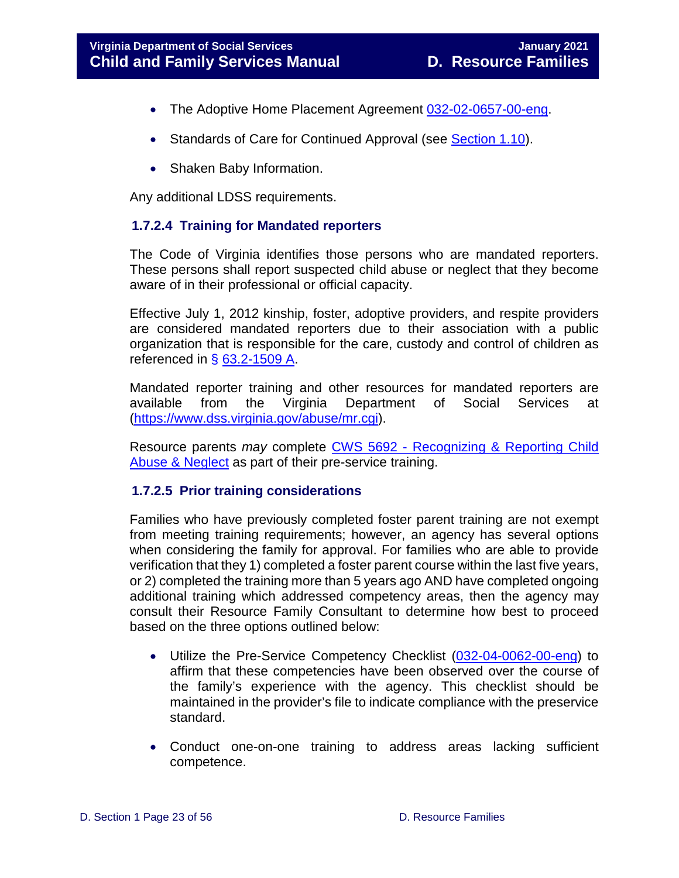- The Adoptive Home Placement Agreement [032-02-0657-00-eng.](https://fusion.dss.virginia.gov/Portals/%5bdfs%5d/Files/Adoption/Placement/Adoptive%20Home%20Placement%20Agreement.pdf?ver=2020-06-29-140912-363)
- Standards of Care for Continued Approval (see [Section 1.10\)](#page-41-1).
- Shaken Baby Information.

Any additional LDSS requirements.

#### <span id="page-22-0"></span>**1.7.2.4 Training for Mandated reporters**

The Code of Virginia identifies those persons who are mandated reporters. These persons shall report suspected child abuse or neglect that they become aware of in their professional or official capacity.

Effective July 1, 2012 kinship, foster, adoptive providers, and respite providers are considered mandated reporters due to their association with a public organization that is responsible for the care, custody and control of children as referenced in  $\S$  [63.2-1509 A.](https://law.lis.virginia.gov/vacode/title63.2/chapter15/section63.2-1509/)

Mandated reporter training and other resources for mandated reporters are available from the Virginia Department of Social Services at [\(https://www.dss.virginia.gov/abuse/mr.cgi\)](https://www.dss.virginia.gov/abuse/mr.cgi).

Resource parents *may* complete CWS 5692 - [Recognizing & Reporting Child](https://covlc.virginia.gov/Default.aspx)  [Abuse & Neglect](https://covlc.virginia.gov/Default.aspx) as part of their pre-service training.

#### <span id="page-22-1"></span>**1.7.2.5 Prior training considerations**

Families who have previously completed foster parent training are not exempt from meeting training requirements; however, an agency has several options when considering the family for approval. For families who are able to provide verification that they 1) completed a foster parent course within the last five years, or 2) completed the training more than 5 years ago AND have completed ongoing additional training which addressed competency areas, then the agency may consult their Resource Family Consultant to determine how best to proceed based on the three options outlined below:

- Utilize the Pre-Service Competency Checklist [\(032-04-0062-00-eng\)](https://fusion.dss.virginia.gov/Portals/%5bdfs%5d/Files/Family%20Recruitment/Family%20Recruitment%20Forms/Pre-Service%20Competency%20Checklist.doc?ver=2019-05-28-100336-390) to affirm that these competencies have been observed over the course of the family's experience with the agency. This checklist should be maintained in the provider's file to indicate compliance with the preservice standard.
- Conduct one-on-one training to address areas lacking sufficient competence.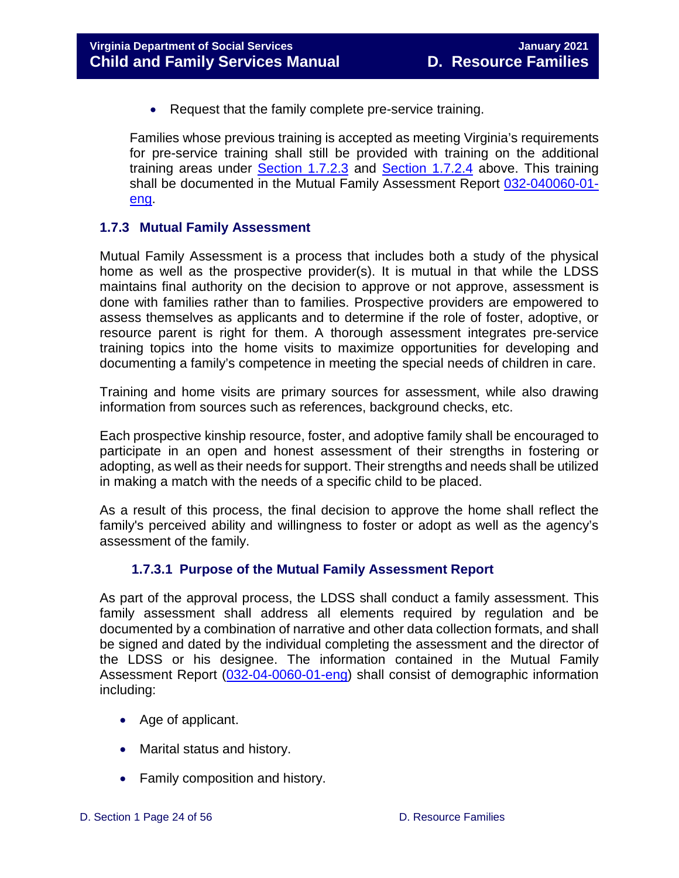• Request that the family complete pre-service training.

Families whose previous training is accepted as meeting Virginia's requirements for pre-service training shall still be provided with training on the additional training areas under Section 1.7.2.3 and Section 1.7.2.4 above. This training shall be documented in the Mutual Family Assessment Report [032-040060-01](https://fusion.dss.virginia.gov/Portals/%5Bdfs%5D/Files/Family%20Recruitment/Family%20Recruitment%20Forms/Mutual%20Family%20Assessment.doc) [eng.](https://fusion.dss.virginia.gov/Portals/%5Bdfs%5D/Files/Family%20Recruitment/Family%20Recruitment%20Forms/Mutual%20Family%20Assessment.doc)

#### <span id="page-23-0"></span>**1.7.3 Mutual Family Assessment**

Mutual Family Assessment is a process that includes both a study of the physical home as well as the prospective provider(s). It is mutual in that while the LDSS maintains final authority on the decision to approve or not approve, assessment is done with families rather than to families. Prospective providers are empowered to assess themselves as applicants and to determine if the role of foster, adoptive, or resource parent is right for them. A thorough assessment integrates pre-service training topics into the home visits to maximize opportunities for developing and documenting a family's competence in meeting the special needs of children in care.

Training and home visits are primary sources for assessment, while also drawing information from sources such as references, background checks, etc.

Each prospective kinship resource, foster, and adoptive family shall be encouraged to participate in an open and honest assessment of their strengths in fostering or adopting, as well as their needs for support. Their strengths and needs shall be utilized in making a match with the needs of a specific child to be placed.

As a result of this process, the final decision to approve the home shall reflect the family's perceived ability and willingness to foster or adopt as well as the agency's assessment of the family.

#### **1.7.3.1 Purpose of the Mutual Family Assessment Report**

<span id="page-23-1"></span>As part of the approval process, the LDSS shall conduct a family assessment. This family assessment shall address all elements required by regulation and be documented by a combination of narrative and other data collection formats, and shall be signed and dated by the individual completing the assessment and the director of the LDSS or his designee. The information contained in the Mutual Family Assessment Report [\(032-04-0060-01-eng\)](https://fusion.dss.virginia.gov/Portals/%5Bdfs%5D/Files/Family%20Recruitment/Family%20Recruitment%20Forms/Mutual%20Family%20Assessment.doc) shall consist of demographic information including:

- Age of applicant.
- Marital status and history.
- Family composition and history.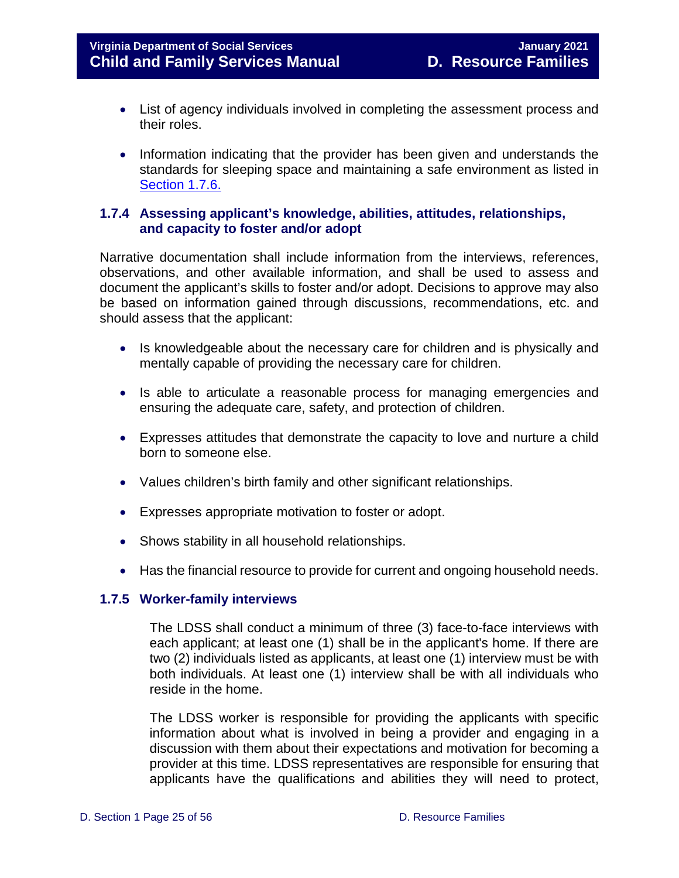- List of agency individuals involved in completing the assessment process and their roles.
- Information indicating that the provider has been given and understands the standards for sleeping space and maintaining a safe environment as listed in [Section 1.7.6.](#page-28-1)

#### <span id="page-24-0"></span>**1.7.4 Assessing applicant's knowledge, abilities, attitudes, relationships, and capacity to foster and/or adopt**

Narrative documentation shall include information from the interviews, references, observations, and other available information, and shall be used to assess and document the applicant's skills to foster and/or adopt. Decisions to approve may also be based on information gained through discussions, recommendations, etc. and should assess that the applicant:

- Is knowledgeable about the necessary care for children and is physically and mentally capable of providing the necessary care for children.
- Is able to articulate a reasonable process for managing emergencies and ensuring the adequate care, safety, and protection of children.
- Expresses attitudes that demonstrate the capacity to love and nurture a child born to someone else.
- Values children's birth family and other significant relationships.
- Expresses appropriate motivation to foster or adopt.
- Shows stability in all household relationships.
- Has the financial resource to provide for current and ongoing household needs.

#### <span id="page-24-1"></span>**1.7.5 Worker-family interviews**

The LDSS shall conduct a minimum of three (3) face-to-face interviews with each applicant; at least one (1) shall be in the applicant's home. If there are two (2) individuals listed as applicants, at least one (1) interview must be with both individuals. At least one (1) interview shall be with all individuals who reside in the home.

The LDSS worker is responsible for providing the applicants with specific information about what is involved in being a provider and engaging in a discussion with them about their expectations and motivation for becoming a provider at this time. LDSS representatives are responsible for ensuring that applicants have the qualifications and abilities they will need to protect,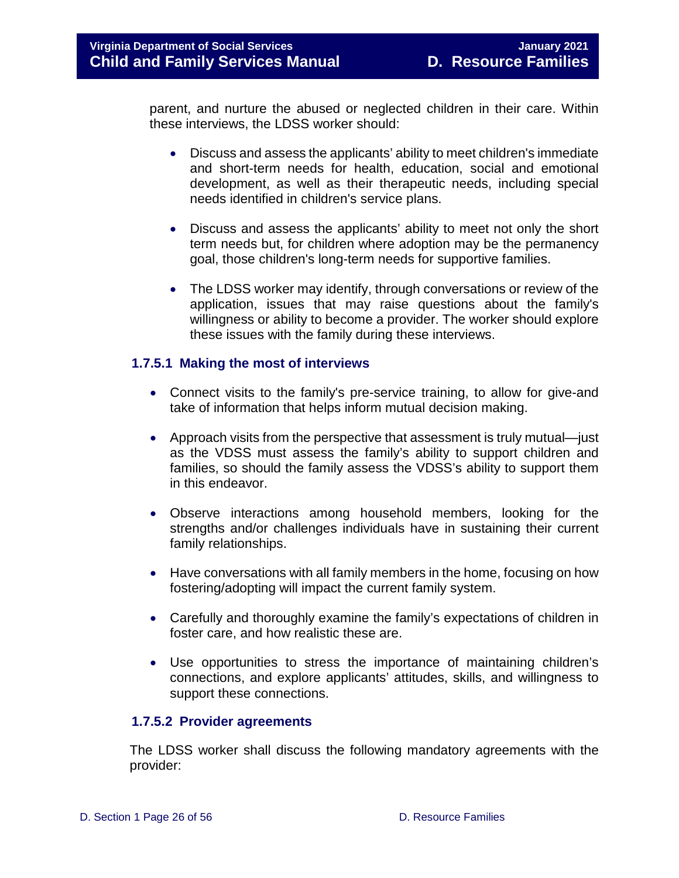parent, and nurture the abused or neglected children in their care. Within these interviews, the LDSS worker should:

- Discuss and assess the applicants' ability to meet children's immediate and short-term needs for health, education, social and emotional development, as well as their therapeutic needs, including special needs identified in children's service plans.
- Discuss and assess the applicants' ability to meet not only the short term needs but, for children where adoption may be the permanency goal, those children's long-term needs for supportive families.
- The LDSS worker may identify, through conversations or review of the application, issues that may raise questions about the family's willingness or ability to become a provider. The worker should explore these issues with the family during these interviews.

#### <span id="page-25-0"></span>**1.7.5.1 Making the most of interviews**

- Connect visits to the family's pre-service training, to allow for give-and take of information that helps inform mutual decision making.
- Approach visits from the perspective that assessment is truly mutual—just as the VDSS must assess the family's ability to support children and families, so should the family assess the VDSS's ability to support them in this endeavor.
- Observe interactions among household members, looking for the strengths and/or challenges individuals have in sustaining their current family relationships.
- Have conversations with all family members in the home, focusing on how fostering/adopting will impact the current family system.
- Carefully and thoroughly examine the family's expectations of children in foster care, and how realistic these are.
- Use opportunities to stress the importance of maintaining children's connections, and explore applicants' attitudes, skills, and willingness to support these connections.

#### <span id="page-25-1"></span>**1.7.5.2 Provider agreements**

The LDSS worker shall discuss the following mandatory agreements with the provider: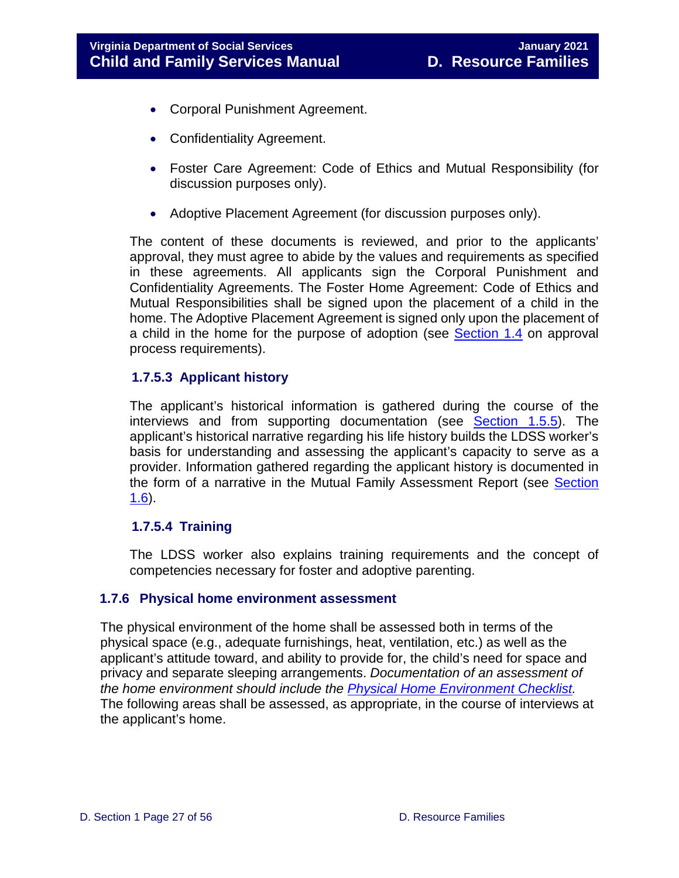- Corporal Punishment Agreement.
- Confidentiality Agreement.
- Foster Care Agreement: Code of Ethics and Mutual Responsibility (for discussion purposes only).
- Adoptive Placement Agreement (for discussion purposes only).

The content of these documents is reviewed, and prior to the applicants' approval, they must agree to abide by the values and requirements as specified in these agreements. All applicants sign the Corporal Punishment and Confidentiality Agreements. The Foster Home Agreement: Code of Ethics and Mutual Responsibilities shall be signed upon the placement of a child in the home. The Adoptive Placement Agreement is signed only upon the placement of a child in the home for the purpose of adoption (see [Section 1.4](#page-17-3) on approval process requirements).

#### <span id="page-26-0"></span>**1.7.5.3 Applicant history**

The applicant's historical information is gathered during the course of the interviews and from supporting documentation (see **Section 1.5.5**). The applicant's historical narrative regarding his life history builds the LDSS worker's basis for understanding and assessing the applicant's capacity to serve as a provider. Information gathered regarding the applicant history is documented in the form of a narrative in the Mutual Family Assessment Report (see [Section](#page-34-0)   $1.6$ ).

#### <span id="page-26-1"></span>**1.7.5.4 Training**

The LDSS worker also explains training requirements and the concept of competencies necessary for foster and adoptive parenting.

#### <span id="page-26-2"></span>**1.7.6 Physical home environment assessment**

The physical environment of the home shall be assessed both in terms of the physical space (e.g., adequate furnishings, heat, ventilation, etc.) as well as the applicant's attitude toward, and ability to provide for, the child's need for space and privacy and separate sleeping arrangements. *Documentation of an assessment of the home environment should include the [Physical Home Environment Checklist.](https://fusion.dss.virginia.gov/Portals/%5Bdfs%5D/Files/Family%20Recruitment/Family%20Recruitment%20Forms/Physical%20Home%20Enviornment%20Safety%20Checklist%20final%20-%20protected.docx)* The following areas shall be assessed, as appropriate, in the course of interviews at the applicant's home.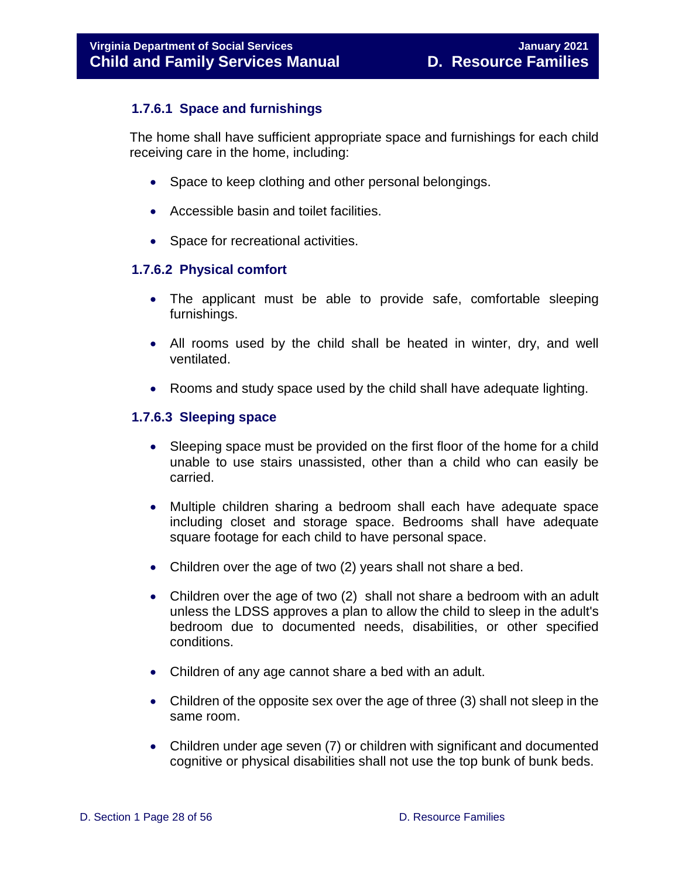#### <span id="page-27-0"></span>**1.7.6.1 Space and furnishings**

The home shall have sufficient appropriate space and furnishings for each child receiving care in the home, including:

- Space to keep clothing and other personal belongings.
- Accessible basin and toilet facilities.
- Space for recreational activities.

#### <span id="page-27-1"></span>**1.7.6.2 Physical comfort**

- The applicant must be able to provide safe, comfortable sleeping furnishings.
- All rooms used by the child shall be heated in winter, dry, and well ventilated.
- Rooms and study space used by the child shall have adequate lighting.

#### <span id="page-27-2"></span>**1.7.6.3 Sleeping space**

- Sleeping space must be provided on the first floor of the home for a child unable to use stairs unassisted, other than a child who can easily be carried.
- Multiple children sharing a bedroom shall each have adequate space including closet and storage space. Bedrooms shall have adequate square footage for each child to have personal space.
- Children over the age of two (2) years shall not share a bed.
- Children over the age of two (2) shall not share a bedroom with an adult unless the LDSS approves a plan to allow the child to sleep in the adult's bedroom due to documented needs, disabilities, or other specified conditions.
- Children of any age cannot share a bed with an adult.
- Children of the opposite sex over the age of three (3) shall not sleep in the same room.
- Children under age seven (7) or children with significant and documented cognitive or physical disabilities shall not use the top bunk of bunk beds.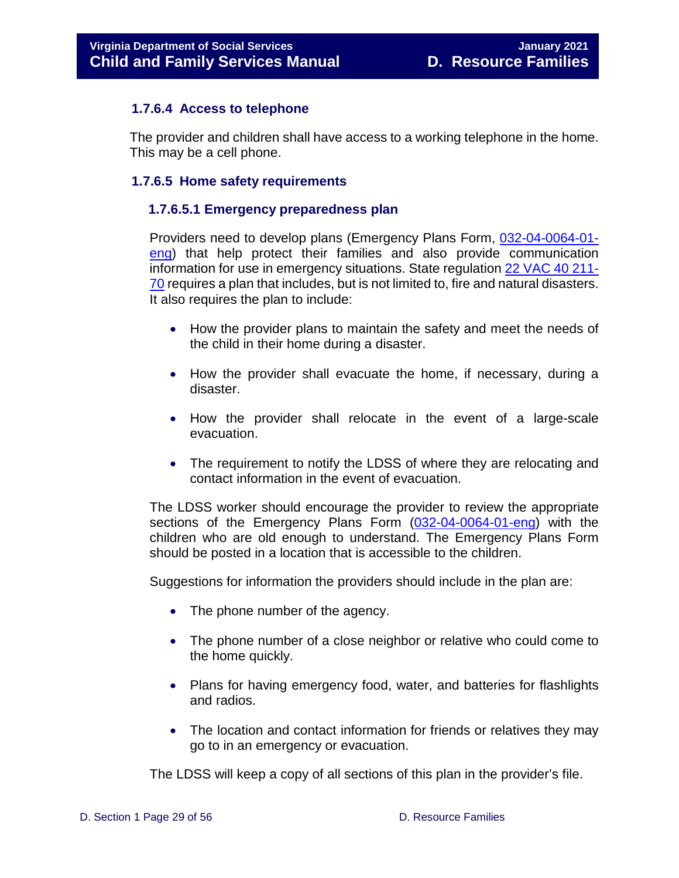#### <span id="page-28-0"></span>**1.7.6.4 Access to telephone**

The provider and children shall have access to a working telephone in the home. This may be a cell phone.

#### <span id="page-28-2"></span><span id="page-28-1"></span>**1.7.6.5 Home safety requirements**

#### **1.7.6.5.1 Emergency preparedness plan**

Providers need to develop plans (Emergency Plans Form, [032-04-0064-01](https://fusion.dss.virginia.gov/Portals/%5Bdfs%5D/Files/Family%20Recruitment/Family%20Recruitment%20Forms/Emergency%20Plans.doc) [eng\)](https://fusion.dss.virginia.gov/Portals/%5Bdfs%5D/Files/Family%20Recruitment/Family%20Recruitment%20Forms/Emergency%20Plans.doc) that help protect their families and also provide communication information for use in emergency situations. State regulation [22 VAC 40 211-](https://law.lis.virginia.gov/admincode/title22/agency40/chapter211/section70/) [70](https://law.lis.virginia.gov/admincode/title22/agency40/chapter211/section70/) requires a plan that includes, but is not limited to, fire and natural disasters. It also requires the plan to include:

- How the provider plans to maintain the safety and meet the needs of the child in their home during a disaster.
- How the provider shall evacuate the home, if necessary, during a disaster.
- How the provider shall relocate in the event of a large-scale evacuation.
- The requirement to notify the LDSS of where they are relocating and contact information in the event of evacuation.

The LDSS worker should encourage the provider to review the appropriate sections of the Emergency Plans Form [\(032-04-0064-01-eng\)](https://fusion.dss.virginia.gov/Portals/%5Bdfs%5D/Files/Family%20Recruitment/Family%20Recruitment%20Forms/Emergency%20Plans.doc) with the children who are old enough to understand. The Emergency Plans Form should be posted in a location that is accessible to the children.

Suggestions for information the providers should include in the plan are:

- The phone number of the agency.
- The phone number of a close neighbor or relative who could come to the home quickly.
- Plans for having emergency food, water, and batteries for flashlights and radios.
- The location and contact information for friends or relatives they may go to in an emergency or evacuation.

The LDSS will keep a copy of all sections of this plan in the provider's file.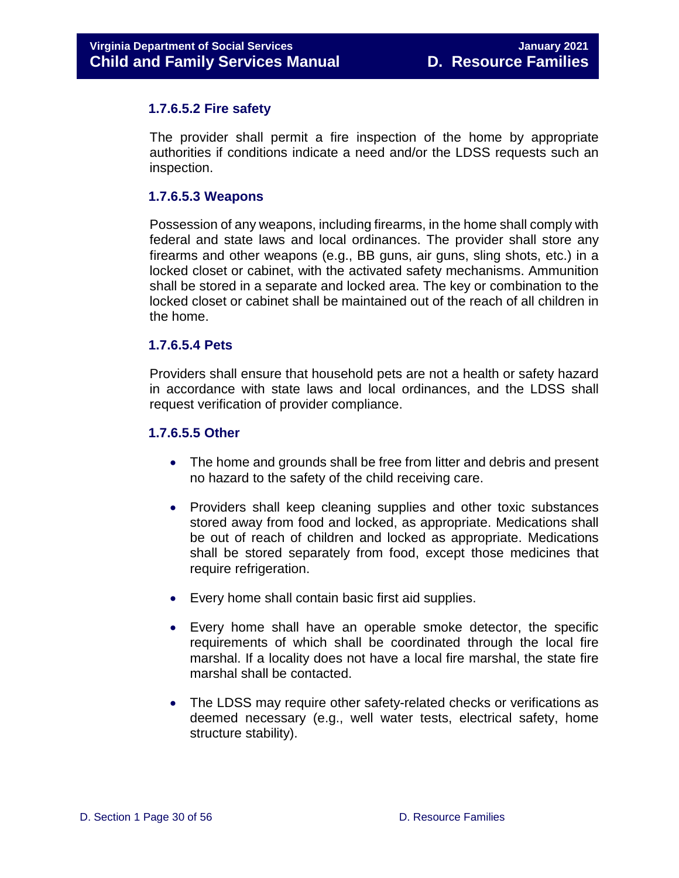#### <span id="page-29-0"></span>**1.7.6.5.2 Fire safety**

The provider shall permit a fire inspection of the home by appropriate authorities if conditions indicate a need and/or the LDSS requests such an inspection.

#### <span id="page-29-1"></span>**1.7.6.5.3 Weapons**

Possession of any weapons, including firearms, in the home shall comply with federal and state laws and local ordinances. The provider shall store any firearms and other weapons (e.g., BB guns, air guns, sling shots, etc.) in a locked closet or cabinet, with the activated safety mechanisms. Ammunition shall be stored in a separate and locked area. The key or combination to the locked closet or cabinet shall be maintained out of the reach of all children in the home.

#### <span id="page-29-2"></span>**1.7.6.5.4 Pets**

Providers shall ensure that household pets are not a health or safety hazard in accordance with state laws and local ordinances, and the LDSS shall request verification of provider compliance.

#### <span id="page-29-3"></span>**1.7.6.5.5 Other**

- The home and grounds shall be free from litter and debris and present no hazard to the safety of the child receiving care.
- Providers shall keep cleaning supplies and other toxic substances stored away from food and locked, as appropriate. Medications shall be out of reach of children and locked as appropriate. Medications shall be stored separately from food, except those medicines that require refrigeration.
- Every home shall contain basic first aid supplies.
- Every home shall have an operable smoke detector, the specific requirements of which shall be coordinated through the local fire marshal. If a locality does not have a local fire marshal, the state fire marshal shall be contacted.
- The LDSS may require other safety-related checks or verifications as deemed necessary (e.g., well water tests, electrical safety, home structure stability).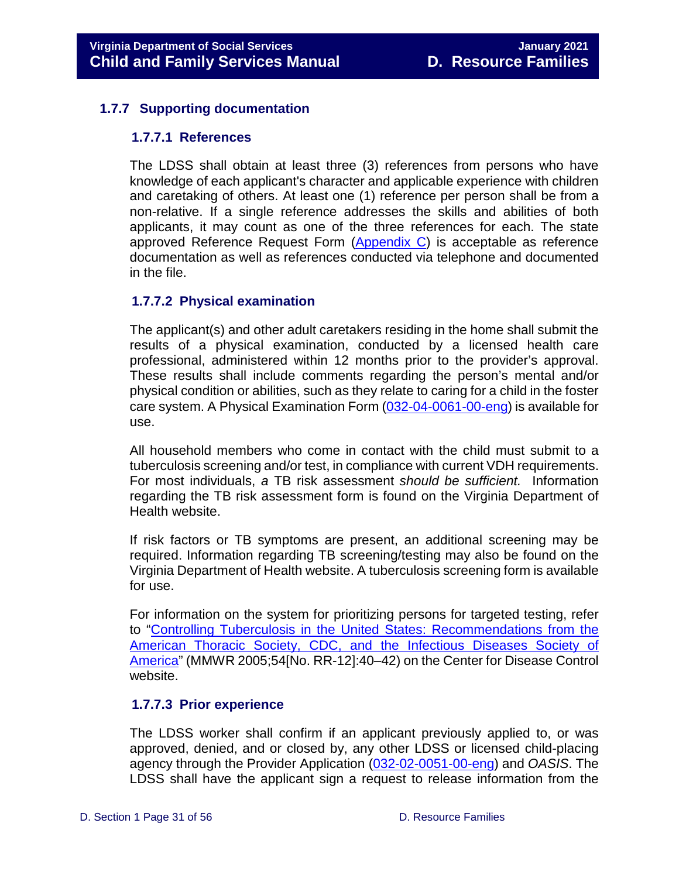#### <span id="page-30-1"></span><span id="page-30-0"></span>**1.7.7 Supporting documentation**

#### **1.7.7.1 References**

The LDSS shall obtain at least three (3) references from persons who have knowledge of each applicant's character and applicable experience with children and caretaking of others. At least one (1) reference per person shall be from a non-relative. If a single reference addresses the skills and abilities of both applicants, it may count as one of the three references for each. The state approved Reference Request Form [\(Appendix C\)](#page-54-1) is acceptable as reference documentation as well as references conducted via telephone and documented in the file.

#### <span id="page-30-2"></span>**1.7.7.2 Physical examination**

The applicant(s) and other adult caretakers residing in the home shall submit the results of a physical examination, conducted by a licensed health care professional, administered within 12 months prior to the provider's approval. These results shall include comments regarding the person's mental and/or physical condition or abilities, such as they relate to caring for a child in the foster care system. A Physical Examination Form [\(032-04-0061-00-eng\)](https://fusion.dss.virginia.gov/Portals/%5Bdfs%5D/Files/Family%20Recruitment/Family%20Recruitment%20Forms/Physical%20Examination%20Report.doc) is available for use.

All household members who come in contact with the child must submit to a tuberculosis screening and/or test, in compliance with current VDH requirements. For most individuals, *a* TB risk assessment *should be sufficient.* Information regarding the TB risk assessment form is found on the Virginia Department of Health website.

If risk factors or TB symptoms are present, an additional screening may be required. Information regarding TB screening/testing may also be found on the Virginia Department of Health website. A tuberculosis screening form is available for use.

For information on the system for prioritizing persons for targeted testing, refer to ["Controlling Tuberculosis in the United States: Recommendations from the](https://www.cdc.gov/mmwr/preview/mmwrhtml/rr5412a1.htm)  [American Thoracic Society, CDC, and the Infectious Diseases Society of](https://www.cdc.gov/mmwr/preview/mmwrhtml/rr5412a1.htm)  [America"](https://www.cdc.gov/mmwr/preview/mmwrhtml/rr5412a1.htm) (MMWR 2005;54[No. RR-12]:40–42) on the Center for Disease Control website.

#### <span id="page-30-3"></span>**1.7.7.3 Prior experience**

The LDSS worker shall confirm if an applicant previously applied to, or was approved, denied, and or closed by, any other LDSS or licensed child-placing agency through the Provider Application [\(032-02-0051-00-eng\)](https://fusion.dss.virginia.gov/Portals/%5Bdfs%5D/Files/Family%20Recruitment/Family%20Recruitment%20Forms/Application%20for%20Department%20Approved%20Provider.doc) and *OASIS*. The LDSS shall have the applicant sign a request to release information from the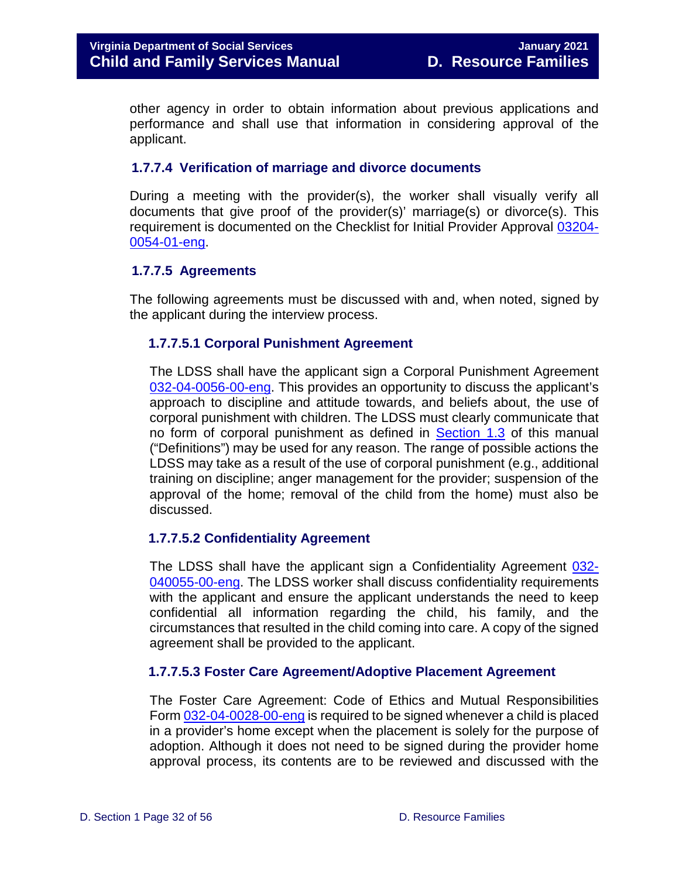other agency in order to obtain information about previous applications and performance and shall use that information in considering approval of the applicant.

#### <span id="page-31-0"></span>**1.7.7.4 Verification of marriage and divorce documents**

During a meeting with the provider(s), the worker shall visually verify all documents that give proof of the provider(s)' marriage(s) or divorce(s). This requirement is documented on the Checklist for Initial Provider Approval [03204-](https://fusion.dss.virginia.gov/Portals/%5Bdfs%5D/Files/Family%20Recruitment/Family%20Recruitment%20Forms/Checklist%20for%20Initial%20Provider%20Approval.doc) [0054-01-eng.](https://fusion.dss.virginia.gov/Portals/%5Bdfs%5D/Files/Family%20Recruitment/Family%20Recruitment%20Forms/Checklist%20for%20Initial%20Provider%20Approval.doc)

#### <span id="page-31-1"></span>**1.7.7.5 Agreements**

<span id="page-31-2"></span>The following agreements must be discussed with and, when noted, signed by the applicant during the interview process.

#### **1.7.7.5.1 Corporal Punishment Agreement**

The LDSS shall have the applicant sign a Corporal Punishment Agreement [032-04-0056-00-eng.](https://fusion.dss.virginia.gov/Portals/%5Bdfs%5D/Files/Family%20Recruitment/Family%20Recruitment%20Forms/Corporal%20Punishment%20Agreement.doc) This provides an opportunity to discuss the applicant's approach to discipline and attitude towards, and beliefs about, the use of corporal punishment with children. The LDSS must clearly communicate that no form of corporal punishment as defined in [Section 1.3](#page-9-0) of this manual ("Definitions") may be used for any reason. The range of possible actions the LDSS may take as a result of the use of corporal punishment (e.g., additional training on discipline; anger management for the provider; suspension of the approval of the home; removal of the child from the home) must also be discussed.

#### <span id="page-31-3"></span>**1.7.7.5.2 Confidentiality Agreement**

The LDSS shall have the applicant sign a Confidentiality Agreement [032-](https://fusion.dss.virginia.gov/Portals/%5Bdfs%5D/Files/Family%20Recruitment/Family%20Recruitment%20Forms/Confidentiality%20Agreement.doc) [040055-00-eng.](https://fusion.dss.virginia.gov/Portals/%5Bdfs%5D/Files/Family%20Recruitment/Family%20Recruitment%20Forms/Confidentiality%20Agreement.doc) The LDSS worker shall discuss confidentiality requirements with the applicant and ensure the applicant understands the need to keep confidential all information regarding the child, his family, and the circumstances that resulted in the child coming into care. A copy of the signed agreement shall be provided to the applicant.

#### <span id="page-31-4"></span>**1.7.7.5.3 Foster Care Agreement/Adoptive Placement Agreement**

The Foster Care Agreement: Code of Ethics and Mutual Responsibilities Form [032-04-0028-00-eng](https://fusion.dss.virginia.gov/Portals/%5Bdfs%5D/Files/DFS%20FORMS/Family%20Services-Generic%20Forms/Foster%20Care%20Agreement%20with%20Code%20of%20Ethics%20and%20Mutual%20Responsibilities.pdf) is required to be signed whenever a child is placed in a provider's home except when the placement is solely for the purpose of adoption. Although it does not need to be signed during the provider home approval process, its contents are to be reviewed and discussed with the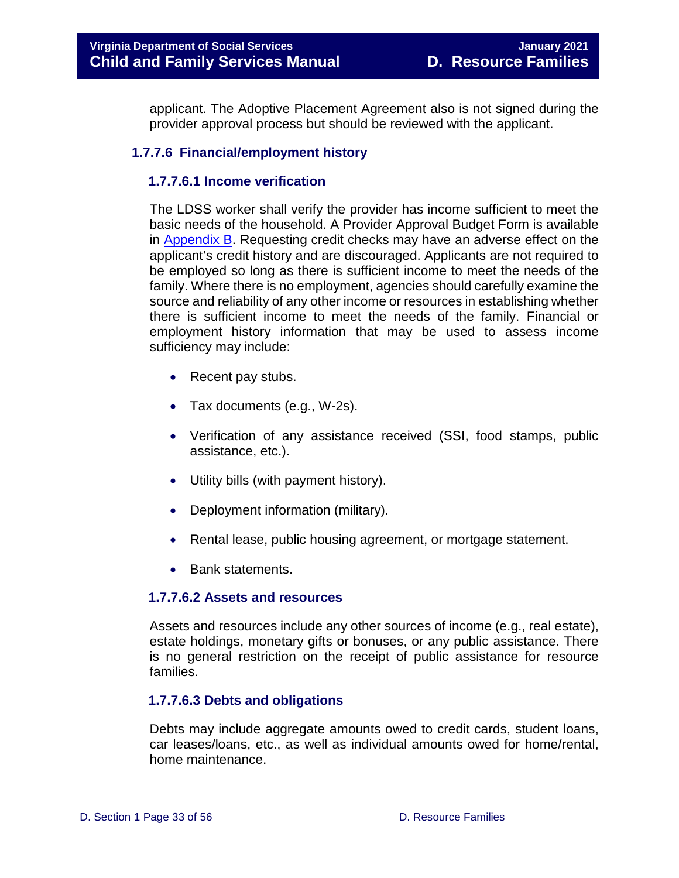applicant. The Adoptive Placement Agreement also is not signed during the provider approval process but should be reviewed with the applicant.

#### <span id="page-32-1"></span><span id="page-32-0"></span>**1.7.7.6 Financial/employment history**

#### **1.7.7.6.1 Income verification**

The LDSS worker shall verify the provider has income sufficient to meet the basic needs of the household. A Provider Approval Budget Form is available in [Appendix B.](#page-53-0) Requesting credit checks may have an adverse effect on the applicant's credit history and are discouraged. Applicants are not required to be employed so long as there is sufficient income to meet the needs of the family. Where there is no employment, agencies should carefully examine the source and reliability of any other income or resources in establishing whether there is sufficient income to meet the needs of the family. Financial or employment history information that may be used to assess income sufficiency may include:

- Recent pay stubs.
- Tax documents (e.g., W-2s).
- Verification of any assistance received (SSI, food stamps, public assistance, etc.).
- Utility bills (with payment history).
- Deployment information (military).
- Rental lease, public housing agreement, or mortgage statement.
- Bank statements.

#### <span id="page-32-2"></span>**1.7.7.6.2 Assets and resources**

Assets and resources include any other sources of income (e.g., real estate), estate holdings, monetary gifts or bonuses, or any public assistance. There is no general restriction on the receipt of public assistance for resource families.

#### <span id="page-32-3"></span>**1.7.7.6.3 Debts and obligations**

Debts may include aggregate amounts owed to credit cards, student loans, car leases/loans, etc., as well as individual amounts owed for home/rental, home maintenance.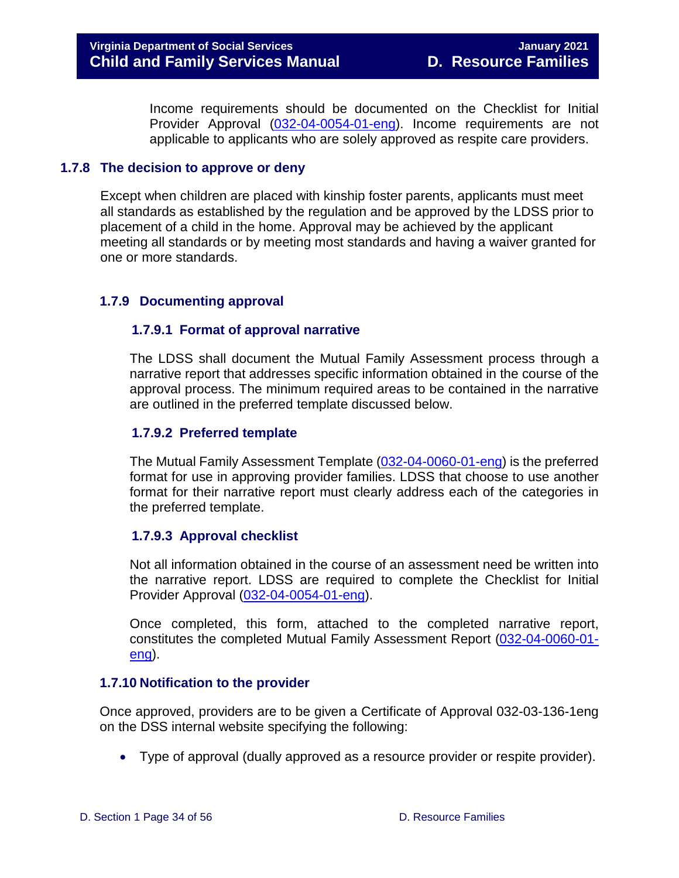Income requirements should be documented on the Checklist for Initial Provider Approval [\(032-04-0054-01-eng\)](https://fusion.dss.virginia.gov/Portals/%5Bdfs%5D/Files/Family%20Recruitment/Family%20Recruitment%20Forms/Checklist%20for%20Initial%20Provider%20Approval.doc). Income requirements are not applicable to applicants who are solely approved as respite care providers.

#### <span id="page-33-0"></span>**1.7.8 The decision to approve or deny**

Except when children are placed with kinship foster parents, applicants must meet all standards as established by the regulation and be approved by the LDSS prior to placement of a child in the home. Approval may be achieved by the applicant meeting all standards or by meeting most standards and having a waiver granted for one or more standards.

#### <span id="page-33-2"></span><span id="page-33-1"></span>**1.7.9 Documenting approval**

#### **1.7.9.1 Format of approval narrative**

The LDSS shall document the Mutual Family Assessment process through a narrative report that addresses specific information obtained in the course of the approval process. The minimum required areas to be contained in the narrative are outlined in the preferred template discussed below.

#### <span id="page-33-3"></span>**1.7.9.2 Preferred template**

The Mutual Family Assessment Template [\(032-04-0060-01-eng\)](https://fusion.dss.virginia.gov/Portals/%5Bdfs%5D/Files/Family%20Recruitment/Family%20Recruitment%20Forms/Mutual%20Family%20Assessment.doc) is the preferred format for use in approving provider families. LDSS that choose to use another format for their narrative report must clearly address each of the categories in the preferred template.

#### <span id="page-33-4"></span>**1.7.9.3 Approval checklist**

Not all information obtained in the course of an assessment need be written into the narrative report. LDSS are required to complete the Checklist for Initial Provider Approval [\(032-04-0054-01-eng\)](https://fusion.dss.virginia.gov/Portals/%5Bdfs%5D/Files/Family%20Recruitment/Family%20Recruitment%20Forms/Checklist%20for%20Initial%20Provider%20Approval.doc).

Once completed, this form, attached to the completed narrative report, constitutes the completed Mutual Family Assessment Report [\(032-04-0060-01](https://fusion.dss.virginia.gov/Portals/%5Bdfs%5D/Files/Family%20Recruitment/Family%20Recruitment%20Forms/Mutual%20Family%20Assessment.doc) [eng\)](https://fusion.dss.virginia.gov/Portals/%5Bdfs%5D/Files/Family%20Recruitment/Family%20Recruitment%20Forms/Mutual%20Family%20Assessment.doc).

#### <span id="page-33-5"></span>**1.7.10 Notification to the provider**

Once approved, providers are to be given a Certificate of Approval 032-03-136-1eng on the DSS internal website specifying the following:

• Type of approval (dually approved as a resource provider or respite provider).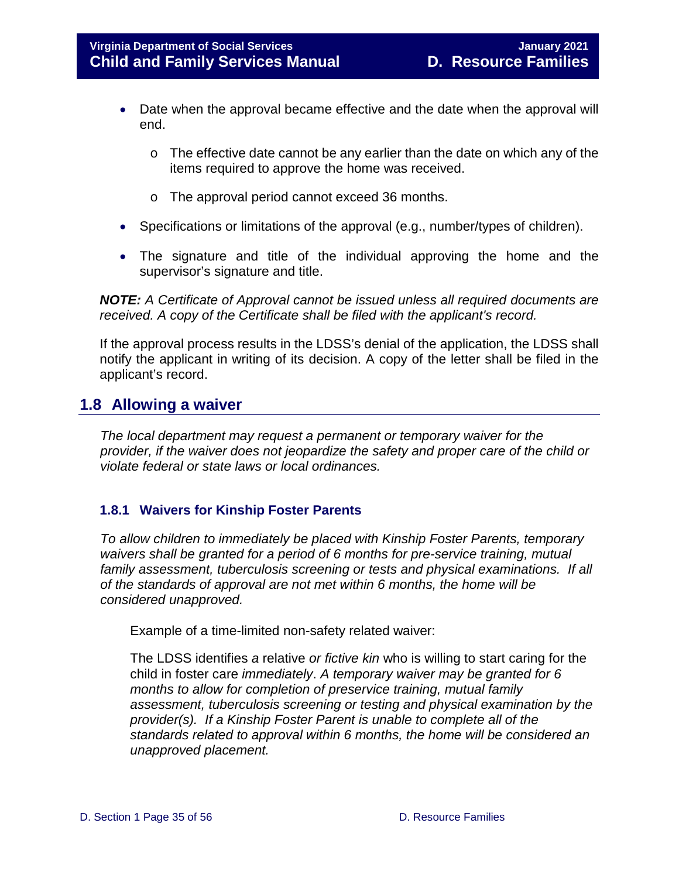#### **Virginia Department of Social Services January 2021 Child and Family Services Manual D. Resource Families**

- Date when the approval became effective and the date when the approval will end.
	- o The effective date cannot be any earlier than the date on which any of the items required to approve the home was received.
	- o The approval period cannot exceed 36 months.
- Specifications or limitations of the approval (e.g., number/types of children).
- The signature and title of the individual approving the home and the supervisor's signature and title.

*NOTE: A Certificate of Approval cannot be issued unless all required documents are received. A copy of the Certificate shall be filed with the applicant's record.* 

If the approval process results in the LDSS's denial of the application, the LDSS shall notify the applicant in writing of its decision. A copy of the letter shall be filed in the applicant's record.

#### <span id="page-34-0"></span>**1.8 Allowing a waiver**

*The local department may request a permanent or temporary waiver for the provider, if the waiver does not jeopardize the safety and proper care of the child or violate federal or state laws or local ordinances.*

#### <span id="page-34-1"></span>**1.8.1 Waivers for Kinship Foster Parents**

*To allow children to immediately be placed with Kinship Foster Parents, temporary waivers shall be granted for a period of 6 months for pre-service training, mutual family assessment, tuberculosis screening or tests and physical examinations. If all of the standards of approval are not met within 6 months, the home will be considered unapproved.*

Example of a time-limited non-safety related waiver:

The LDSS identifies *a* relative *or fictive kin* who is willing to start caring for the child in foster care *immediately*. *A temporary waiver may be granted for 6 months to allow for completion of preservice training, mutual family assessment, tuberculosis screening or testing and physical examination by the provider(s). If a Kinship Foster Parent is unable to complete all of the standards related to approval within 6 months, the home will be considered an unapproved placement.*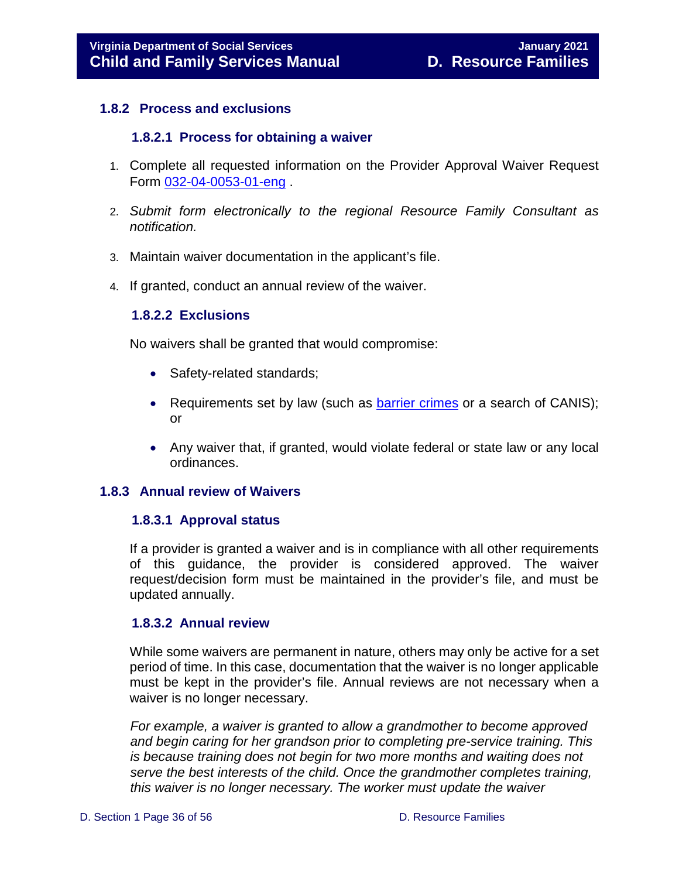#### <span id="page-35-1"></span><span id="page-35-0"></span>**1.8.2 Process and exclusions**

#### **1.8.2.1 Process for obtaining a waiver**

- 1. Complete all requested information on the Provider Approval Waiver Request Form [032-04-0053-01-eng](https://fusion.dss.virginia.gov/Portals/%5Bdfs%5D/Files/Family%20Recruitment/Family%20Recruitment%20Forms/kinship%20waiver%20request%20form.docx) .
- 2. *Submit form electronically to the regional Resource Family Consultant as notification.*
- 3. Maintain waiver documentation in the applicant's file.
- <span id="page-35-2"></span>4. If granted, conduct an annual review of the waiver.

#### **1.8.2.2 Exclusions**

No waivers shall be granted that would compromise:

- Safety-related standards;
- Requirements set by law (such as [barrier crimes](https://www.dss.virginia.gov/files/division/licensing/fds/intro_page/current_providers/background_investigations/barrier_crimes.pdf) or a search of CANIS); or
- Any waiver that, if granted, would violate federal or state law or any local ordinances.

#### <span id="page-35-4"></span><span id="page-35-3"></span>**1.8.3 Annual review of Waivers**

#### **1.8.3.1 Approval status**

If a provider is granted a waiver and is in compliance with all other requirements of this guidance, the provider is considered approved. The waiver request/decision form must be maintained in the provider's file, and must be updated annually.

#### <span id="page-35-5"></span>**1.8.3.2 Annual review**

While some waivers are permanent in nature, others may only be active for a set period of time. In this case, documentation that the waiver is no longer applicable must be kept in the provider's file. Annual reviews are not necessary when a waiver is no longer necessary.

*For example, a waiver is granted to allow a grandmother to become approved and begin caring for her grandson prior to completing pre-service training. This is because training does not begin for two more months and waiting does not serve the best interests of the child. Once the grandmother completes training, this waiver is no longer necessary. The worker must update the waiver*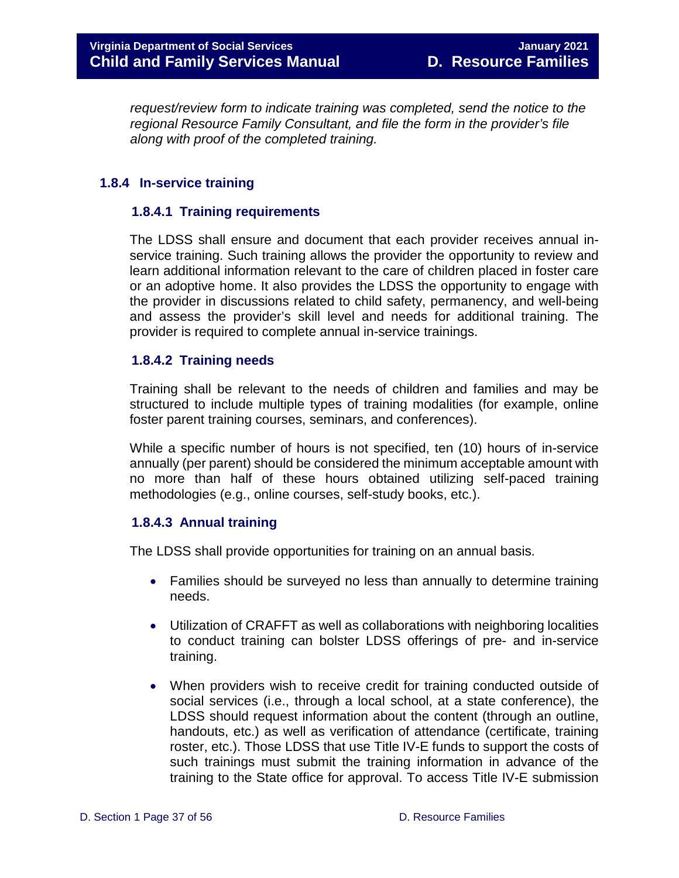*request/review form to indicate training was completed, send the notice to the regional Resource Family Consultant, and file the form in the provider's file along with proof of the completed training.* 

#### <span id="page-36-1"></span><span id="page-36-0"></span>**1.8.4 In-service training**

#### **1.8.4.1 Training requirements**

The LDSS shall ensure and document that each provider receives annual inservice training. Such training allows the provider the opportunity to review and learn additional information relevant to the care of children placed in foster care or an adoptive home. It also provides the LDSS the opportunity to engage with the provider in discussions related to child safety, permanency, and well-being and assess the provider's skill level and needs for additional training. The provider is required to complete annual in-service trainings.

#### <span id="page-36-2"></span>**1.8.4.2 Training needs**

Training shall be relevant to the needs of children and families and may be structured to include multiple types of training modalities (for example, online foster parent training courses, seminars, and conferences).

While a specific number of hours is not specified, ten (10) hours of in-service annually (per parent) should be considered the minimum acceptable amount with no more than half of these hours obtained utilizing self-paced training methodologies (e.g., online courses, self-study books, etc.).

#### <span id="page-36-3"></span>**1.8.4.3 Annual training**

The LDSS shall provide opportunities for training on an annual basis.

- Families should be surveyed no less than annually to determine training needs.
- Utilization of CRAFFT as well as collaborations with neighboring localities to conduct training can bolster LDSS offerings of pre- and in-service training.
- When providers wish to receive credit for training conducted outside of social services (i.e., through a local school, at a state conference), the LDSS should request information about the content (through an outline, handouts, etc.) as well as verification of attendance (certificate, training roster, etc.). Those LDSS that use Title IV-E funds to support the costs of such trainings must submit the training information in advance of the training to the State office for approval. To access Title IV-E submission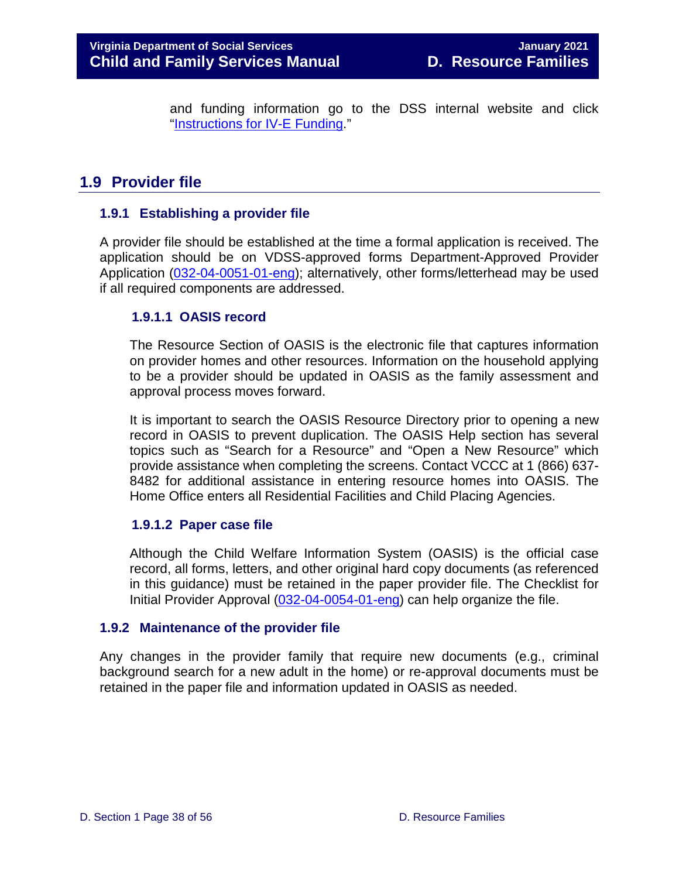and funding information go to the DSS internal website and click ["Instructions for IV-E Funding.](https://fusion.dss.virginia.gov/dfs/DFS-Home/Title-IV-E)"

## <span id="page-37-0"></span>**1.9 Provider file**

#### <span id="page-37-1"></span>**1.9.1 Establishing a provider file**

A provider file should be established at the time a formal application is received. The application should be on VDSS-approved forms Department-Approved Provider Application [\(032-04-0051-01-eng\)](https://fusion.dss.virginia.gov/Portals/%5Bdfs%5D/Files/Family%20Recruitment/Family%20Recruitment%20Forms/Application%20for%20Department%20Approved%20Provider.doc); alternatively, other forms/letterhead may be used if all required components are addressed.

#### <span id="page-37-2"></span>**1.9.1.1 OASIS record**

The Resource Section of OASIS is the electronic file that captures information on provider homes and other resources. Information on the household applying to be a provider should be updated in OASIS as the family assessment and approval process moves forward.

It is important to search the OASIS Resource Directory prior to opening a new record in OASIS to prevent duplication. The OASIS Help section has several topics such as "Search for a Resource" and "Open a New Resource" which provide assistance when completing the screens. Contact VCCC at 1 (866) 637- 8482 for additional assistance in entering resource homes into OASIS. The Home Office enters all Residential Facilities and Child Placing Agencies.

#### <span id="page-37-3"></span>**1.9.1.2 Paper case file**

Although the Child Welfare Information System (OASIS) is the official case record, all forms, letters, and other original hard copy documents (as referenced in this guidance) must be retained in the paper provider file. The Checklist for Initial Provider Approval [\(032-04-0054-01-eng\)](https://fusion.dss.virginia.gov/Portals/%5Bdfs%5D/Files/Family%20Recruitment/Family%20Recruitment%20Forms/Checklist%20for%20Initial%20Provider%20Approval.doc) can help organize the file.

#### <span id="page-37-4"></span>**1.9.2 Maintenance of the provider file**

Any changes in the provider family that require new documents (e.g., criminal background search for a new adult in the home) or re-approval documents must be retained in the paper file and information updated in OASIS as needed.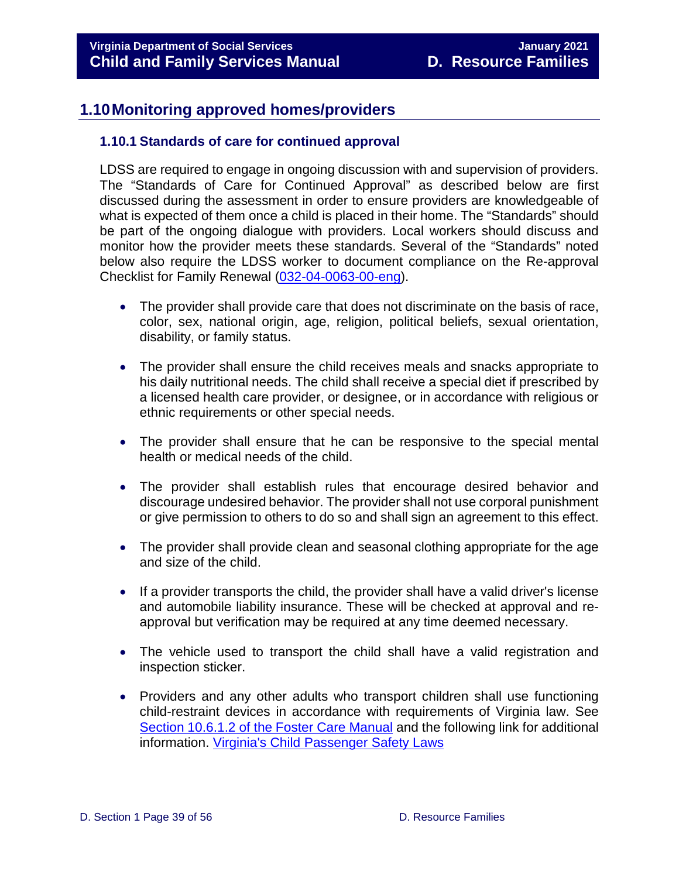## <span id="page-38-0"></span>**1.10Monitoring approved homes/providers**

#### <span id="page-38-1"></span>**1.10.1 Standards of care for continued approval**

LDSS are required to engage in ongoing discussion with and supervision of providers. The "Standards of Care for Continued Approval" as described below are first discussed during the assessment in order to ensure providers are knowledgeable of what is expected of them once a child is placed in their home. The "Standards" should be part of the ongoing dialogue with providers. Local workers should discuss and monitor how the provider meets these standards. Several of the "Standards" noted below also require the LDSS worker to document compliance on the Re-approval Checklist for Family Renewal [\(032-04-0063-00-eng\)](https://fusion.dss.virginia.gov/Portals/%5Bdfs%5D/Files/Family%20Recruitment/Family%20Recruitment%20Forms/Checklist%20for%20Family%20Re-Approval.doc).

- The provider shall provide care that does not discriminate on the basis of race, color, sex, national origin, age, religion, political beliefs, sexual orientation, disability, or family status.
- The provider shall ensure the child receives meals and snacks appropriate to his daily nutritional needs. The child shall receive a special diet if prescribed by a licensed health care provider, or designee, or in accordance with religious or ethnic requirements or other special needs.
- The provider shall ensure that he can be responsive to the special mental health or medical needs of the child.
- The provider shall establish rules that encourage desired behavior and discourage undesired behavior. The provider shall not use corporal punishment or give permission to others to do so and shall sign an agreement to this effect.
- The provider shall provide clean and seasonal clothing appropriate for the age and size of the child.
- If a provider transports the child, the provider shall have a valid driver's license and automobile liability insurance. These will be checked at approval and reapproval but verification may be required at any time deemed necessary.
- The vehicle used to transport the child shall have a valid registration and inspection sticker.
- Providers and any other adults who transport children shall use functioning child-restraint devices in accordance with requirements of Virginia law. See [Section 10.6.1.2 of the Foster Care Manual](https://www.dss.virginia.gov/family/fc/index.cgi) and the following link for additional information. [Virginia's Child Passenger Safety Laws](https://www.vdh.virginia.gov/child-passenger-safety/virginia-laws/)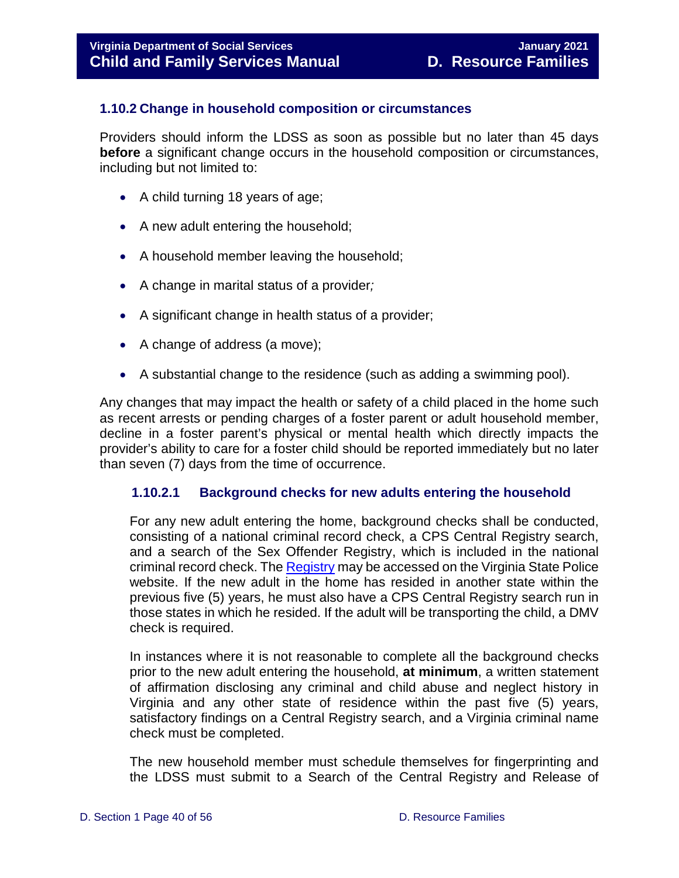#### <span id="page-39-0"></span>**1.10.2 Change in household composition or circumstances**

Providers should inform the LDSS as soon as possible but no later than 45 days **before** a significant change occurs in the household composition or circumstances, including but not limited to:

- A child turning 18 years of age;
- A new adult entering the household;
- A household member leaving the household;
- A change in marital status of a provider*;*
- A significant change in health status of a provider;
- A change of address (a move);
- A substantial change to the residence (such as adding a swimming pool).

Any changes that may impact the health or safety of a child placed in the home such as recent arrests or pending charges of a foster parent or adult household member, decline in a foster parent's physical or mental health which directly impacts the provider's ability to care for a foster child should be reported immediately but no later than seven (7) days from the time of occurrence.

#### <span id="page-39-1"></span>**1.10.2.1 Background checks for new adults entering the household**

For any new adult entering the home, background checks shall be conducted, consisting of a national criminal record check, a CPS Central Registry search, and a search of the Sex Offender Registry, which is included in the national criminal record check. The [Registry](https://sex-offender.vsp.virginia.gov/) may be accessed on the Virginia State Police website. If the new adult in the home has resided in another state within the previous five (5) years, he must also have a CPS Central Registry search run in those states in which he resided. If the adult will be transporting the child, a DMV check is required.

In instances where it is not reasonable to complete all the background checks prior to the new adult entering the household, **at minimum**, a written statement of affirmation disclosing any criminal and child abuse and neglect history in Virginia and any other state of residence within the past five (5) years, satisfactory findings on a Central Registry search, and a Virginia criminal name check must be completed.

The new household member must schedule themselves for fingerprinting and the LDSS must submit to a Search of the Central Registry and Release of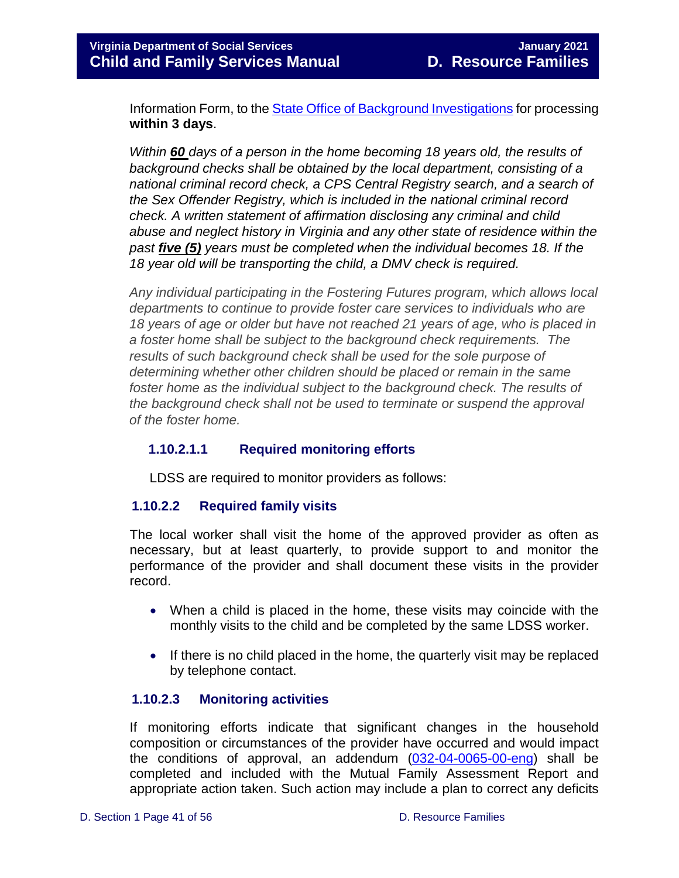Information Form, to the **State Office of Background Investigations** for processing **within 3 days**.

*Within 60 days of a person in the home becoming 18 years old, the results of background checks shall be obtained by the local department, consisting of a national criminal record check, a CPS Central Registry search, and a search of the Sex Offender Registry, which is included in the national criminal record check. A written statement of affirmation disclosing any criminal and child abuse and neglect history in Virginia and any other state of residence within the past five (5) years must be completed when the individual becomes 18. If the 18 year old will be transporting the child, a DMV check is required.* 

*Any individual participating in the Fostering Futures program, which allows local departments to continue to provide foster care services to individuals who are 18 years of age or older but have not reached 21 years of age, who is placed in a foster home shall be subject to the background check requirements. The results of such background check shall be used for the sole purpose of determining whether other children should be placed or remain in the same*  foster home as the individual subject to the background check. The results of *the background check shall not be used to terminate or suspend the approval of the foster home.*

#### <span id="page-40-0"></span>**1.10.2.1.1 Required monitoring efforts**

LDSS are required to monitor providers as follows:

#### <span id="page-40-1"></span>**1.10.2.2 Required family visits**

The local worker shall visit the home of the approved provider as often as necessary, but at least quarterly, to provide support to and monitor the performance of the provider and shall document these visits in the provider record.

- When a child is placed in the home, these visits may coincide with the monthly visits to the child and be completed by the same LDSS worker.
- If there is no child placed in the home, the quarterly visit may be replaced by telephone contact.

#### <span id="page-40-2"></span>**1.10.2.3 Monitoring activities**

If monitoring efforts indicate that significant changes in the household composition or circumstances of the provider have occurred and would impact the conditions of approval, an addendum [\(032-04-0065-00-eng\)](https://fusion.dss.virginia.gov/Portals/%5Bdfs%5D/Files/Family%20Recruitment/Family%20Recruitment%20Forms/Addendum%20Template%20%28Mutual%20Family%20Assessment%29.doc) shall be completed and included with the Mutual Family Assessment Report and appropriate action taken. Such action may include a plan to correct any deficits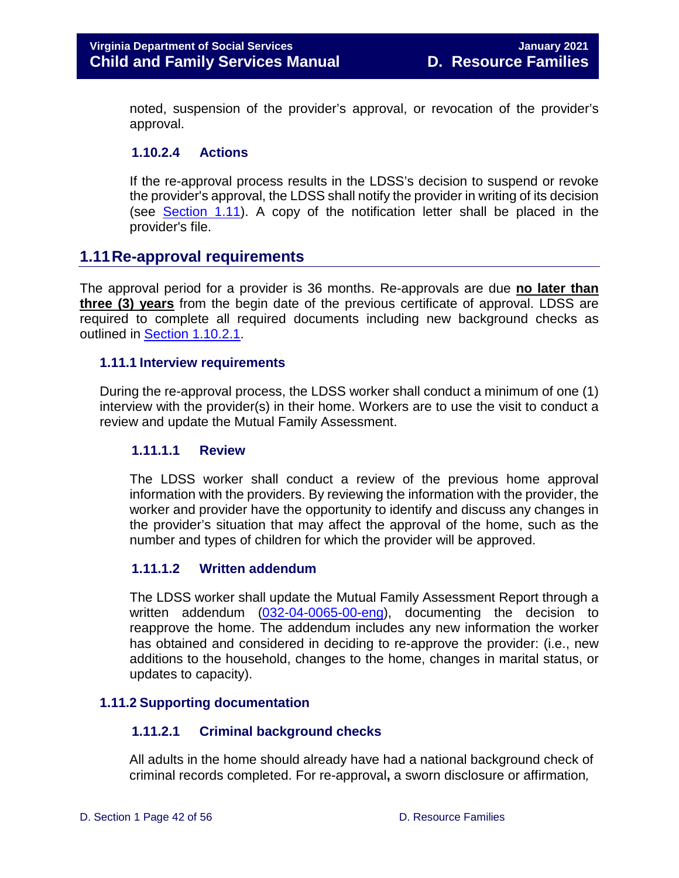noted, suspension of the provider's approval, or revocation of the provider's approval.

#### <span id="page-41-0"></span>**1.10.2.4 Actions**

If the re-approval process results in the LDSS's decision to suspend or revoke the provider's approval, the LDSS shall notify the provider in writing of its decision (see [Section 1.11\)](#page-43-2). A copy of the notification letter shall be placed in the provider's file.

#### <span id="page-41-1"></span>**1.11Re-approval requirements**

The approval period for a provider is 36 months. Re-approvals are due **no later than three (3) years** from the begin date of the previous certificate of approval. LDSS are required to complete all required documents including new background checks as outlined in [Section 1.10.2.1.](#page-41-6)

#### <span id="page-41-2"></span>**1.11.1 Interview requirements**

During the re-approval process, the LDSS worker shall conduct a minimum of one (1) interview with the provider(s) in their home. Workers are to use the visit to conduct a review and update the Mutual Family Assessment.

#### <span id="page-41-3"></span>**1.11.1.1 Review**

The LDSS worker shall conduct a review of the previous home approval information with the providers. By reviewing the information with the provider, the worker and provider have the opportunity to identify and discuss any changes in the provider's situation that may affect the approval of the home, such as the number and types of children for which the provider will be approved.

#### <span id="page-41-4"></span>**1.11.1.2 Written addendum**

The LDSS worker shall update the Mutual Family Assessment Report through a written addendum [\(032-04-0065-00-eng\)](https://fusion.dss.virginia.gov/Portals/%5Bdfs%5D/Files/Family%20Recruitment/Family%20Recruitment%20Forms/Addendum%20Template%20%28Mutual%20Family%20Assessment%29.doc), documenting the decision to reapprove the home. The addendum includes any new information the worker has obtained and considered in deciding to re-approve the provider: (i.e., new additions to the household, changes to the home, changes in marital status, or updates to capacity).

#### <span id="page-41-6"></span><span id="page-41-5"></span>**1.11.2 Supporting documentation**

#### **1.11.2.1 Criminal background checks**

All adults in the home should already have had a national background check of criminal records completed. For re-approval**,** a sworn disclosure or affirmation*,*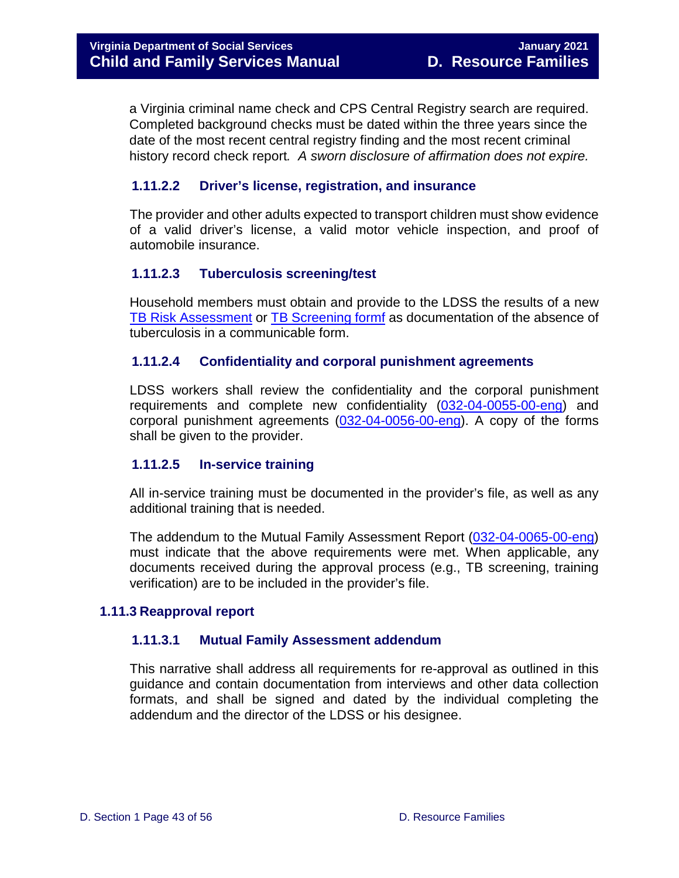a Virginia criminal name check and CPS Central Registry search are required. Completed background checks must be dated within the three years since the date of the most recent central registry finding and the most recent criminal history record check report*. A sworn disclosure of affirmation does not expire.* 

#### <span id="page-42-0"></span>**1.11.2.2 Driver's license, registration, and insurance**

The provider and other adults expected to transport children must show evidence of a valid driver's license, a valid motor vehicle inspection, and proof of automobile insurance.

#### <span id="page-42-1"></span>**1.11.2.3 Tuberculosis screening/test**

Household members must obtain and provide to the LDSS the results of a new [TB Risk Assessment](https://www.vdh.virginia.gov/content/uploads/sites/4/2016/01/TBRisk.pdf) or [TB Screening formf](https://www.vdh.virginia.gov/content/uploads/sites/112/2016/10/TB-Risk-Assessment-512-Form-11-2016-Fillable.pdf) as documentation of the absence of tuberculosis in a communicable form.

#### <span id="page-42-2"></span>**1.11.2.4 Confidentiality and corporal punishment agreements**

LDSS workers shall review the confidentiality and the corporal punishment requirements and complete new confidentiality [\(032-04-0055-00-eng\)](https://fusion.dss.virginia.gov/Portals/%5Bdfs%5D/Files/Family%20Recruitment/Family%20Recruitment%20Forms/Confidentiality%20Agreement.doc) and corporal punishment agreements [\(032-04-0056-00-eng\)](https://fusion.dss.virginia.gov/Portals/%5Bdfs%5D/Files/Family%20Recruitment/Family%20Recruitment%20Forms/Corporal%20Punishment%20Agreement.doc). A copy of the forms shall be given to the provider.

#### <span id="page-42-3"></span>**1.11.2.5 In-service training**

All in-service training must be documented in the provider's file, as well as any additional training that is needed.

The addendum to the Mutual Family Assessment Report [\(032-04-0065-00-eng\)](https://fusion.dss.virginia.gov/Portals/%5Bdfs%5D/Files/Family%20Recruitment/Family%20Recruitment%20Forms/Mutual%20Family%20Assessment.doc) must indicate that the above requirements were met. When applicable, any documents received during the approval process (e.g., TB screening, training verification) are to be included in the provider's file.

#### <span id="page-42-5"></span><span id="page-42-4"></span>**1.11.3 Reapproval report**

#### **1.11.3.1 Mutual Family Assessment addendum**

This narrative shall address all requirements for re-approval as outlined in this guidance and contain documentation from interviews and other data collection formats, and shall be signed and dated by the individual completing the addendum and the director of the LDSS or his designee.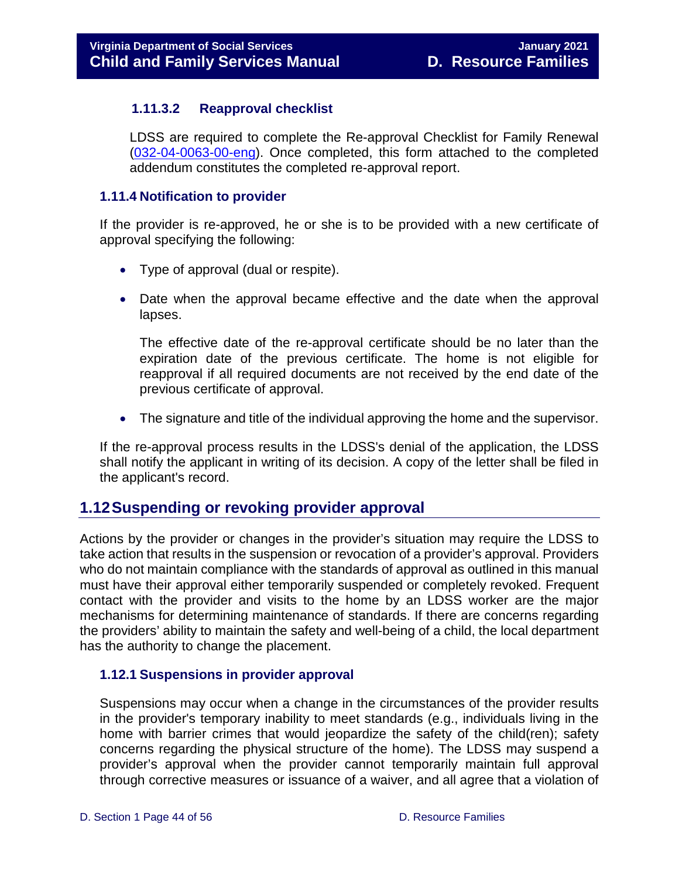#### <span id="page-43-0"></span>**1.11.3.2 Reapproval checklist**

LDSS are required to complete the Re-approval Checklist for Family Renewal [\(032-04-0063-00-eng\)](https://fusion.dss.virginia.gov/Portals/%5Bdfs%5D/Files/Family%20Recruitment/Family%20Recruitment%20Forms/Checklist%20for%20Family%20Re-Approval.doc). Once completed, this form attached to the completed addendum constitutes the completed re-approval report.

#### <span id="page-43-1"></span>**1.11.4 Notification to provider**

If the provider is re-approved, he or she is to be provided with a new certificate of approval specifying the following:

- Type of approval (dual or respite).
- Date when the approval became effective and the date when the approval lapses.

The effective date of the re-approval certificate should be no later than the expiration date of the previous certificate. The home is not eligible for reapproval if all required documents are not received by the end date of the previous certificate of approval.

• The signature and title of the individual approving the home and the supervisor.

If the re-approval process results in the LDSS's denial of the application, the LDSS shall notify the applicant in writing of its decision. A copy of the letter shall be filed in the applicant's record.

## <span id="page-43-2"></span>**1.12Suspending or revoking provider approval**

Actions by the provider or changes in the provider's situation may require the LDSS to take action that results in the suspension or revocation of a provider's approval. Providers who do not maintain compliance with the standards of approval as outlined in this manual must have their approval either temporarily suspended or completely revoked. Frequent contact with the provider and visits to the home by an LDSS worker are the major mechanisms for determining maintenance of standards. If there are concerns regarding the providers' ability to maintain the safety and well-being of a child, the local department has the authority to change the placement.

#### <span id="page-43-3"></span>**1.12.1 Suspensions in provider approval**

Suspensions may occur when a change in the circumstances of the provider results in the provider's temporary inability to meet standards (e.g., individuals living in the home with barrier crimes that would jeopardize the safety of the child(ren); safety concerns regarding the physical structure of the home). The LDSS may suspend a provider's approval when the provider cannot temporarily maintain full approval through corrective measures or issuance of a waiver, and all agree that a violation of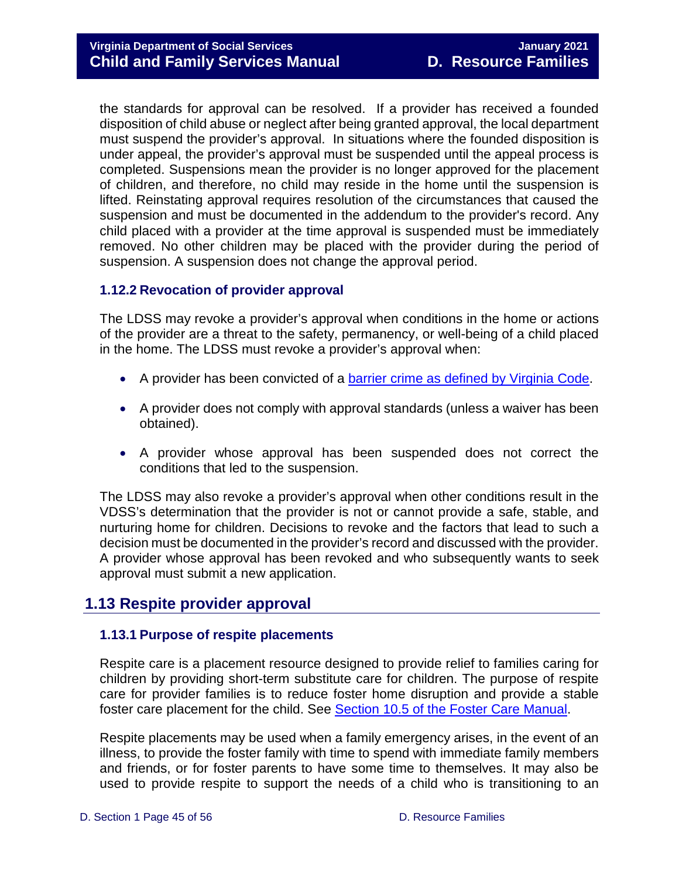the standards for approval can be resolved. If a provider has received a founded disposition of child abuse or neglect after being granted approval, the local department must suspend the provider's approval. In situations where the founded disposition is under appeal, the provider's approval must be suspended until the appeal process is completed. Suspensions mean the provider is no longer approved for the placement of children, and therefore, no child may reside in the home until the suspension is lifted. Reinstating approval requires resolution of the circumstances that caused the suspension and must be documented in the addendum to the provider's record. Any child placed with a provider at the time approval is suspended must be immediately removed. No other children may be placed with the provider during the period of suspension. A suspension does not change the approval period.

#### <span id="page-44-0"></span>**1.12.2 Revocation of provider approval**

The LDSS may revoke a provider's approval when conditions in the home or actions of the provider are a threat to the safety, permanency, or well-being of a child placed in the home. The LDSS must revoke a provider's approval when:

- A provider has been convicted of a [barrier crime as defined by Virginia Code.](https://www.dss.virginia.gov/files/division/licensing/fds/intro_page/current_providers/background_investigations/barrier_crimes.pdf)
- A provider does not comply with approval standards (unless a waiver has been obtained).
- A provider whose approval has been suspended does not correct the conditions that led to the suspension.

The LDSS may also revoke a provider's approval when other conditions result in the VDSS's determination that the provider is not or cannot provide a safe, stable, and nurturing home for children. Decisions to revoke and the factors that lead to such a decision must be documented in the provider's record and discussed with the provider. A provider whose approval has been revoked and who subsequently wants to seek approval must submit a new application.

## <span id="page-44-1"></span>**1.13 Respite provider approval**

#### <span id="page-44-2"></span>**1.13.1 Purpose of respite placements**

Respite care is a placement resource designed to provide relief to families caring for children by providing short-term substitute care for children. The purpose of respite care for provider families is to reduce foster home disruption and provide a stable foster care placement for the child. See [Section 10.5 of the Foster Care Manual.](https://www.dss.virginia.gov/family/fc/index.cgi)

Respite placements may be used when a family emergency arises, in the event of an illness, to provide the foster family with time to spend with immediate family members and friends, or for foster parents to have some time to themselves. It may also be used to provide respite to support the needs of a child who is transitioning to an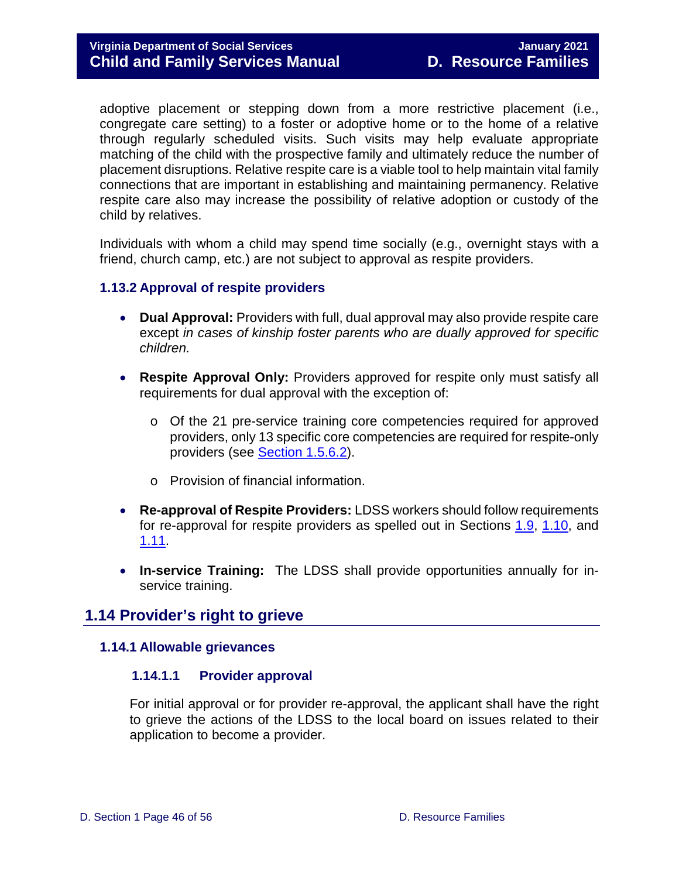adoptive placement or stepping down from a more restrictive placement (i.e., congregate care setting) to a foster or adoptive home or to the home of a relative through regularly scheduled visits. Such visits may help evaluate appropriate matching of the child with the prospective family and ultimately reduce the number of placement disruptions. Relative respite care is a viable tool to help maintain vital family connections that are important in establishing and maintaining permanency. Relative respite care also may increase the possibility of relative adoption or custody of the child by relatives.

Individuals with whom a child may spend time socially (e.g., overnight stays with a friend, church camp, etc.) are not subject to approval as respite providers.

#### <span id="page-45-0"></span>**1.13.2 Approval of respite providers**

- **Dual Approval:** Providers with full, dual approval may also provide respite care except *in cases of kinship foster parents who are dually approved for specific children.*
- **Respite Approval Only:** Providers approved for respite only must satisfy all requirements for dual approval with the exception of:
	- o Of the 21 pre-service training core competencies required for approved providers, only 13 specific core competencies are required for respite-only providers (see Section 1.5.6.2).
	- o Provision of financial information.
- **Re-approval of Respite Providers:** LDSS workers should follow requirements for re-approval for respite providers as spelled out in Sections [1.9,](#page-38-0) [1.10,](#page-41-1) and [1.11.](#page-43-2)
- **In-service Training:** The LDSS shall provide opportunities annually for inservice training.

#### <span id="page-45-1"></span>**1.14 Provider's right to grieve**

#### <span id="page-45-3"></span><span id="page-45-2"></span>**1.14.1 Allowable grievances**

#### **1.14.1.1 Provider approval**

For initial approval or for provider re-approval, the applicant shall have the right to grieve the actions of the LDSS to the local board on issues related to their application to become a provider.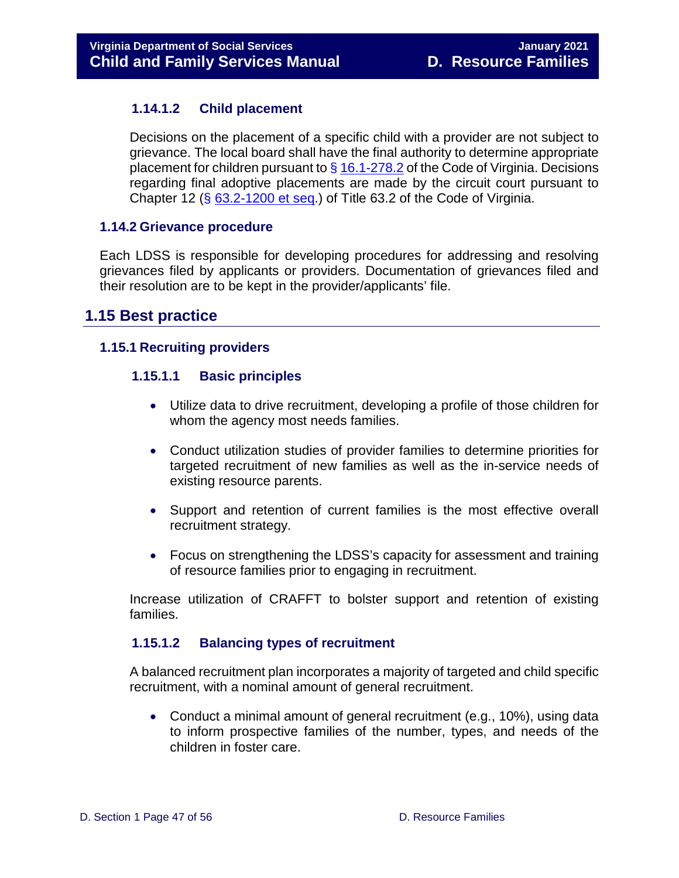#### <span id="page-46-0"></span>**1.14.1.2 Child placement**

Decisions on the placement of a specific child with a provider are not subject to grievance. The local board shall have the final authority to determine appropriate placement for children pursuant to  $\S$  [16.1-278.2](https://law.lis.virginia.gov/vacode/title16.1/chapter11/section16.1-278.2/) of the Code of Virginia. Decisions regarding final adoptive placements are made by the circuit court pursuant to Chapter 12  $(S$  [63.2-1200 et seq.](https://law.lis.virginia.gov/vacode/title63.2/chapter12/section63.2-1242.2/)) of Title 63.2 of the Code of Virginia.

#### <span id="page-46-1"></span>**1.14.2 Grievance procedure**

Each LDSS is responsible for developing procedures for addressing and resolving grievances filed by applicants or providers. Documentation of grievances filed and their resolution are to be kept in the provider/applicants' file.

### <span id="page-46-2"></span>**1.15 Best practice**

#### <span id="page-46-4"></span><span id="page-46-3"></span>**1.15.1 Recruiting providers**

#### **1.15.1.1 Basic principles**

- Utilize data to drive recruitment, developing a profile of those children for whom the agency most needs families.
- Conduct utilization studies of provider families to determine priorities for targeted recruitment of new families as well as the in-service needs of existing resource parents.
- Support and retention of current families is the most effective overall recruitment strategy.
- Focus on strengthening the LDSS's capacity for assessment and training of resource families prior to engaging in recruitment.

Increase utilization of CRAFFT to bolster support and retention of existing families.

#### <span id="page-46-5"></span>**1.15.1.2 Balancing types of recruitment**

A balanced recruitment plan incorporates a majority of targeted and child specific recruitment, with a nominal amount of general recruitment.

• Conduct a minimal amount of general recruitment (e.g., 10%), using data to inform prospective families of the number, types, and needs of the children in foster care.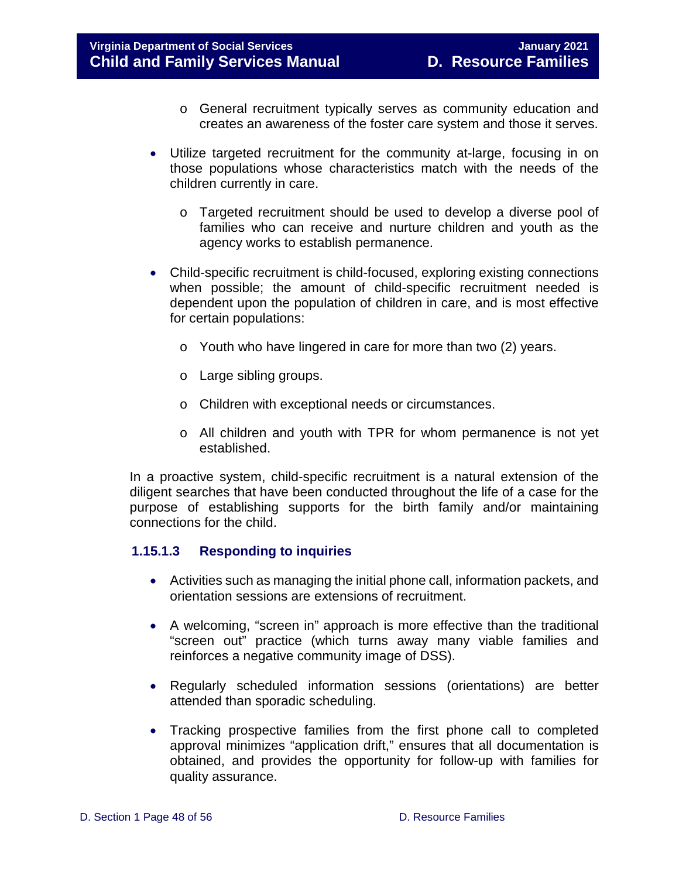- o General recruitment typically serves as community education and creates an awareness of the foster care system and those it serves.
- Utilize targeted recruitment for the community at-large, focusing in on those populations whose characteristics match with the needs of the children currently in care.
	- o Targeted recruitment should be used to develop a diverse pool of families who can receive and nurture children and youth as the agency works to establish permanence.
- Child-specific recruitment is child-focused, exploring existing connections when possible; the amount of child-specific recruitment needed is dependent upon the population of children in care, and is most effective for certain populations:
	- o Youth who have lingered in care for more than two (2) years.
	- o Large sibling groups.
	- o Children with exceptional needs or circumstances.
	- o All children and youth with TPR for whom permanence is not yet established.

In a proactive system, child-specific recruitment is a natural extension of the diligent searches that have been conducted throughout the life of a case for the purpose of establishing supports for the birth family and/or maintaining connections for the child.

#### <span id="page-47-0"></span>**1.15.1.3 Responding to inquiries**

- Activities such as managing the initial phone call, information packets, and orientation sessions are extensions of recruitment.
- A welcoming, "screen in" approach is more effective than the traditional "screen out" practice (which turns away many viable families and reinforces a negative community image of DSS).
- Regularly scheduled information sessions (orientations) are better attended than sporadic scheduling.
- Tracking prospective families from the first phone call to completed approval minimizes "application drift," ensures that all documentation is obtained, and provides the opportunity for follow-up with families for quality assurance.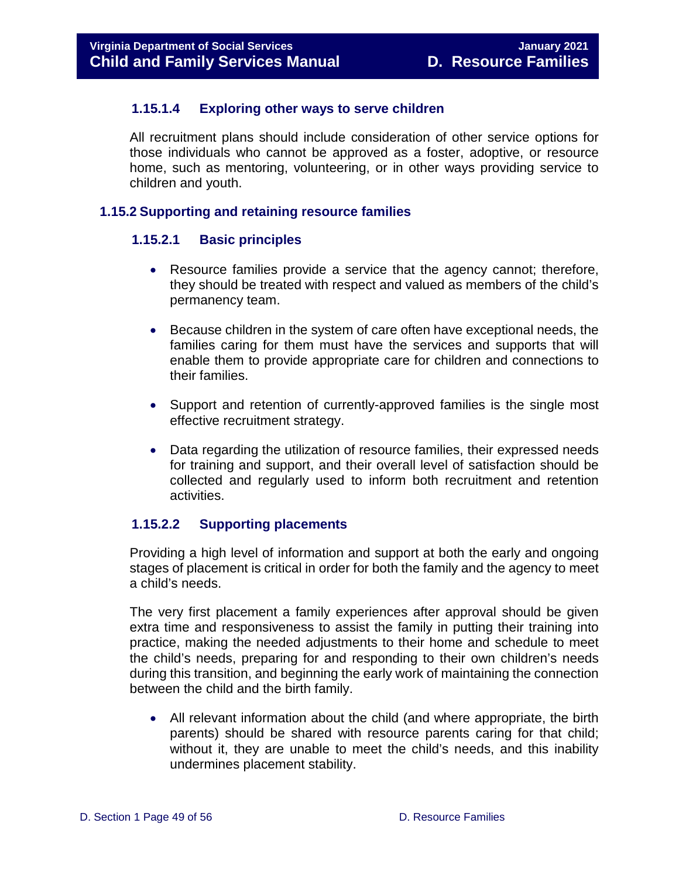#### <span id="page-48-0"></span>**1.15.1.4 Exploring other ways to serve children**

All recruitment plans should include consideration of other service options for those individuals who cannot be approved as a foster, adoptive, or resource home, such as mentoring, volunteering, or in other ways providing service to children and youth.

#### <span id="page-48-2"></span><span id="page-48-1"></span>**1.15.2 Supporting and retaining resource families**

#### **1.15.2.1 Basic principles**

- Resource families provide a service that the agency cannot; therefore, they should be treated with respect and valued as members of the child's permanency team.
- Because children in the system of care often have exceptional needs, the families caring for them must have the services and supports that will enable them to provide appropriate care for children and connections to their families.
- Support and retention of currently-approved families is the single most effective recruitment strategy.
- Data regarding the utilization of resource families, their expressed needs for training and support, and their overall level of satisfaction should be collected and regularly used to inform both recruitment and retention activities.

#### <span id="page-48-3"></span>**1.15.2.2 Supporting placements**

Providing a high level of information and support at both the early and ongoing stages of placement is critical in order for both the family and the agency to meet a child's needs.

The very first placement a family experiences after approval should be given extra time and responsiveness to assist the family in putting their training into practice, making the needed adjustments to their home and schedule to meet the child's needs, preparing for and responding to their own children's needs during this transition, and beginning the early work of maintaining the connection between the child and the birth family.

• All relevant information about the child (and where appropriate, the birth parents) should be shared with resource parents caring for that child; without it, they are unable to meet the child's needs, and this inability undermines placement stability.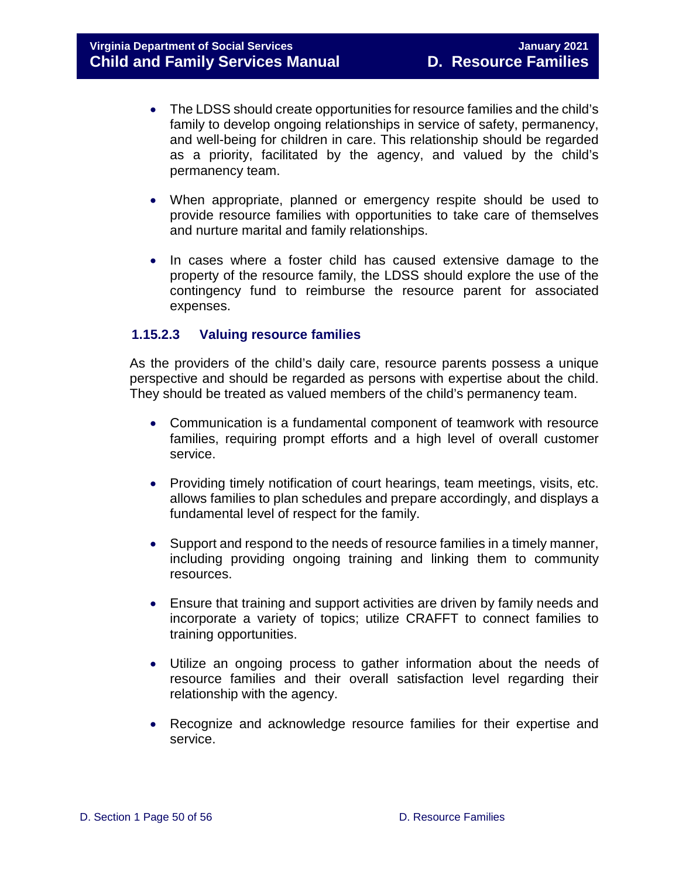- The LDSS should create opportunities for resource families and the child's family to develop ongoing relationships in service of safety, permanency, and well-being for children in care. This relationship should be regarded as a priority, facilitated by the agency, and valued by the child's permanency team.
- When appropriate, planned or emergency respite should be used to provide resource families with opportunities to take care of themselves and nurture marital and family relationships.
- In cases where a foster child has caused extensive damage to the property of the resource family, the LDSS should explore the use of the contingency fund to reimburse the resource parent for associated expenses.

#### <span id="page-49-0"></span>**1.15.2.3 Valuing resource families**

As the providers of the child's daily care, resource parents possess a unique perspective and should be regarded as persons with expertise about the child. They should be treated as valued members of the child's permanency team.

- Communication is a fundamental component of teamwork with resource families, requiring prompt efforts and a high level of overall customer service.
- Providing timely notification of court hearings, team meetings, visits, etc. allows families to plan schedules and prepare accordingly, and displays a fundamental level of respect for the family.
- Support and respond to the needs of resource families in a timely manner, including providing ongoing training and linking them to community resources.
- Ensure that training and support activities are driven by family needs and incorporate a variety of topics; utilize CRAFFT to connect families to training opportunities.
- Utilize an ongoing process to gather information about the needs of resource families and their overall satisfaction level regarding their relationship with the agency.
- Recognize and acknowledge resource families for their expertise and service.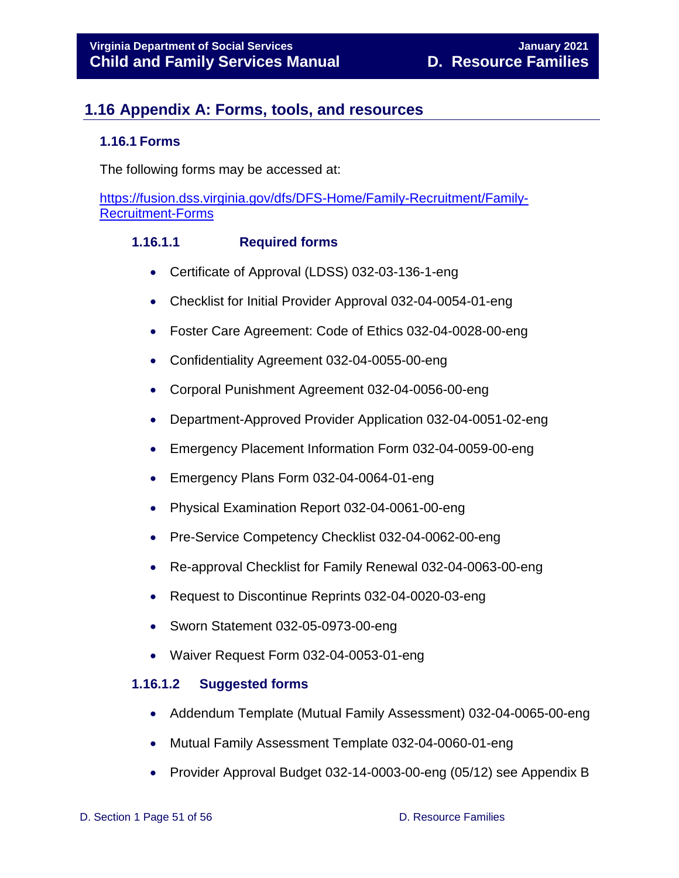## <span id="page-50-0"></span>**1.16 Appendix A: Forms, tools, and resources**

#### <span id="page-50-1"></span>**1.16.1 Forms**

The following forms may be accessed at:

[https://fusion.dss.virginia.gov/dfs/DFS-Home/Family-Recruitment/Family-](https://fusion.dss.virginia.gov/dfs/DFS-Home/Family-Recruitment/Family-Recruitment-Forms)[Recruitment-Forms](https://fusion.dss.virginia.gov/dfs/DFS-Home/Family-Recruitment/Family-Recruitment-Forms)

#### **1.16.1.1 Required forms**

- <span id="page-50-2"></span>• Certificate of Approval (LDSS) 032-03-136-1-eng
- Checklist for Initial Provider Approval 032-04-0054-01-eng
- Foster Care Agreement: Code of Ethics 032-04-0028-00-eng
- Confidentiality Agreement 032-04-0055-00-eng
- Corporal Punishment Agreement 032-04-0056-00-eng
- Department-Approved Provider Application 032-04-0051-02-eng
- Emergency Placement Information Form 032-04-0059-00-eng
- Emergency Plans Form 032-04-0064-01-eng
- Physical Examination Report 032-04-0061-00-eng
- Pre-Service Competency Checklist 032-04-0062-00-eng
- Re-approval Checklist for Family Renewal 032-04-0063-00-eng
- Request to Discontinue Reprints 032-04-0020-03-eng
- Sworn Statement 032-05-0973-00-eng
- Waiver Request Form 032-04-0053-01-eng

#### <span id="page-50-3"></span>**1.16.1.2 Suggested forms**

- Addendum Template (Mutual Family Assessment) 032-04-0065-00-eng
- Mutual Family Assessment Template 032-04-0060-01-eng
- Provider Approval Budget 032-14-0003-00-eng (05/12) see Appendix B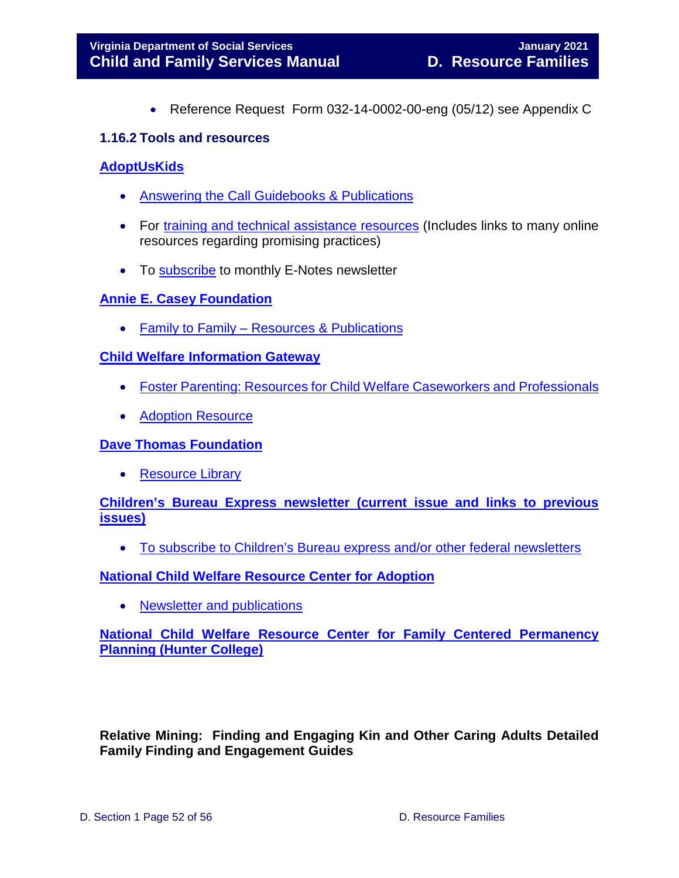• Reference Request Form 032-14-0002-00-eng (05/12) see Appendix C

#### <span id="page-51-0"></span>**1.16.2 Tools and resources**

#### **[AdoptUsKids](https://www.adoptuskids.org/)**

- [Answering the Call Guidebooks & Publications](https://www.adoptuskids.org/_assets/files/NRCRRFAP/resources/practitioners-guide-getting-more-parents-from-your-recruitment-efforts.pdf)
- For [training and technical assistance resources](https://www.google.com/url?client=internal-element-cse&cx=006856348612115003307:rdh6y6czfxg&q=https://www.adoptuskids.org/nrcdr/free-resources&sa=U&ved=2ahUKEwj1ysTfwtTqAhWZgXIEHUZFDOcQFjAAegQIBBAB&usg=AOvVaw3KlCk16W2xvi-Z5pH0BRWN) (Includes links to many online resources regarding promising practices)
- To [subscribe](https://www.google.com/url?client=internal-element-cse&cx=006856348612115003307:rdh6y6czfxg&q=https://www.adoptuskids.org/newsletter-sign-up&sa=U&ved=2ahUKEwiI9veQw9TqAhVqoHIEHX9DCG0QFjAAegQIABAB&usg=AOvVaw3Ohnl7X2v8DDOZLboI3lDt) to monthly E-Notes newsletter

#### **[Annie E. Casey Foundation](https://www.aecf.org/)**

• Family to Family – [Resources & Publications](https://www.aecf.org/work/past-work/family-to-family/) 

#### **[Child Welfare Information Gateway](https://www.childwelfare.gov/)**

- [Foster Parenting: Resources for Child Welfare Caseworkers and Professionals](https://www.childwelfare.gov/topics/outofhome/resources-foster-families/parenting/)
- [Adoption Resource](https://www.childwelfare.gov/topics/adoption/)

#### **[Dave Thomas Foundation](https://www.davethomasfoundation.org/)**

• [Resource Library](https://www.davethomasfoundation.org/library/)

#### **[Children's Bureau Express newsletter \(current issue and links to previous](https://cbexpress.acf.hhs.gov/)  [issues\)](https://cbexpress.acf.hhs.gov/)**

• [To subscribe to Children's Bureau express and/or other federal newsletters](https://public.govdelivery.com/accounts/USACFCWIG/subscriber/new?topic_id=CBX)

#### **[National Child Welfare Resource Center for Adoption](https://spaulding.org/professionals/academy/nrca-national-resource-center-for-adoption-archive/)**

• [Newsletter and publications](https://spaulding.org/professionals/academy/nrca-national-resource-center-for-adoption-archive/newsletterpublications/)

#### **[National Child Welfare Resource Center for Family Centered Permanency](http://www.hunter.cuny.edu/socwork/nrcfcpp/info_services/family-centered-practice.html)  [Planning \(Hunter College\)](http://www.hunter.cuny.edu/socwork/nrcfcpp/info_services/family-centered-practice.html)**

#### **Relative Mining: Finding and Engaging Kin and Other Caring Adults Detailed Family Finding and Engagement Guides**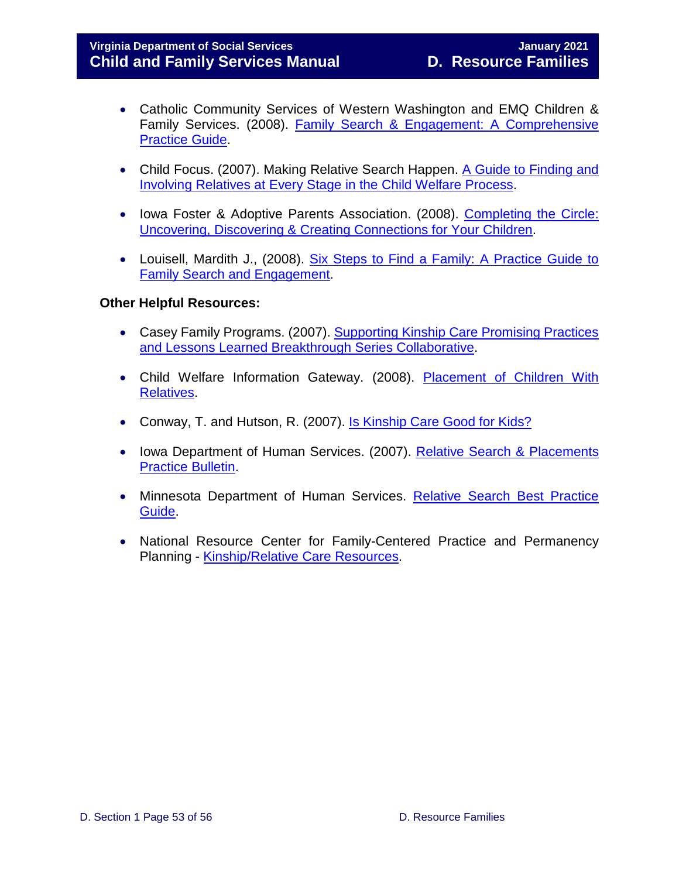- Catholic Community Services of Western Washington and EMQ Children & Family Services. (2008). [Family Search & Engagement: A Comprehensive](https://ccsww.org/wp-content/uploads/2017/04/Family_Search_and_Engagement_Guide_CCS-EMQ.pdf)  [Practice Guide.](https://ccsww.org/wp-content/uploads/2017/04/Family_Search_and_Engagement_Guide_CCS-EMQ.pdf)
- Child Focus. (2007). Making Relative Search Happen. A Guide to Finding and [Involving Relatives at Every Stage in the Child Welfare Process.](http://www.nrc4tribes.org/files/Making%20Relative%20Search%20Happen.pdf)
- Iowa Foster & Adoptive Parents Association. (2008). [Completing the Circle:](http://www.ifapa.org/pdf_docs/CompletingtheCircle.pdf)  [Uncovering, Discovering & Creating Connections for Your Children.](http://www.ifapa.org/pdf_docs/CompletingtheCircle.pdf)
- Louisell, Mardith J., (2008). [Six Steps to Find a Family: A Practice Guide to](http://centerforchildwelfare.fmhi.usf.edu/kb/Prgprac/Six%20Steps%20to%20Find%20a%20Family.pdf)  [Family Search and Engagement.](http://centerforchildwelfare.fmhi.usf.edu/kb/Prgprac/Six%20Steps%20to%20Find%20a%20Family.pdf)

#### **Other Helpful Resources:**

- Casey Family Programs. (2007). Supporting Kinship Care Promising Practices [and Lessons Learned Breakthrough Series Collaborative.](https://www.casey.org/media/TimelyPermanency.pdf)
- Child Welfare Information Gateway. (2008). Placement of Children With [Relatives.](https://www.childwelfare.gov/topics/systemwide/laws-policies/statutes/placement/)
- Conway, T. and Hutson, R. (2007). [Is Kinship Care Good for Kids?](https://www.clasp.org/sites/default/files/public/resources-and-publications/files/0347.pdf)
- Iowa Department of Human Services. (2007). Relative Search & Placements [Practice Bulletin.](http://www.dhs.iowa.gov/sites/default/files/Adoption.pdf)
- Minnesota Department of Human Services. Relative Search Best Practice [Guide.](http://www.nrc4tribes.org/files/Relative%20Search%20Guide.pdf)
- National Resource Center for Family-Centered Practice and Permanency Planning - [Kinship/Relative Care Resources.](http://www.hunter.cuny.edu/socwork/nrcfcpp/downloads/tools/kinship-tool.pdf)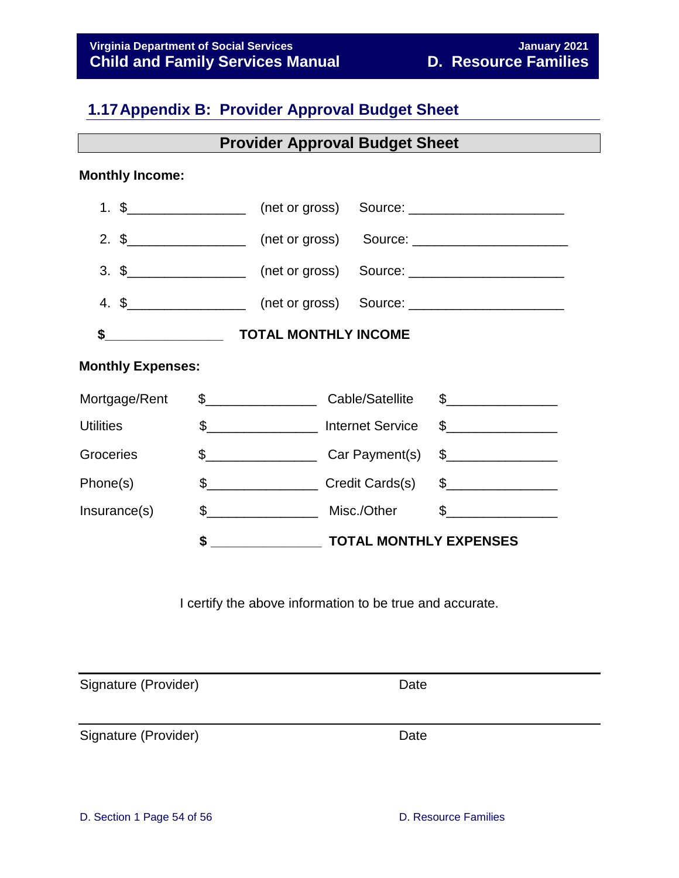## <span id="page-53-0"></span>**1.17Appendix B: Provider Approval Budget Sheet**

**Provider Approval Budget Sheet** 

#### **Monthly Income:**

| <b>Monthly Expenses:</b> |  |                                                                     |
|--------------------------|--|---------------------------------------------------------------------|
| Mortgage/Rent            |  |                                                                     |
|                          |  | Utilities \$____________________ Internet Service \$_______________ |
| Groceries                |  | \$                                                                  |
| Phone(s)                 |  | \$                                                                  |
|                          |  |                                                                     |
|                          |  |                                                                     |

I certify the above information to be true and accurate.

Signature (Provider) and Date Date

Signature (Provider) and Date Date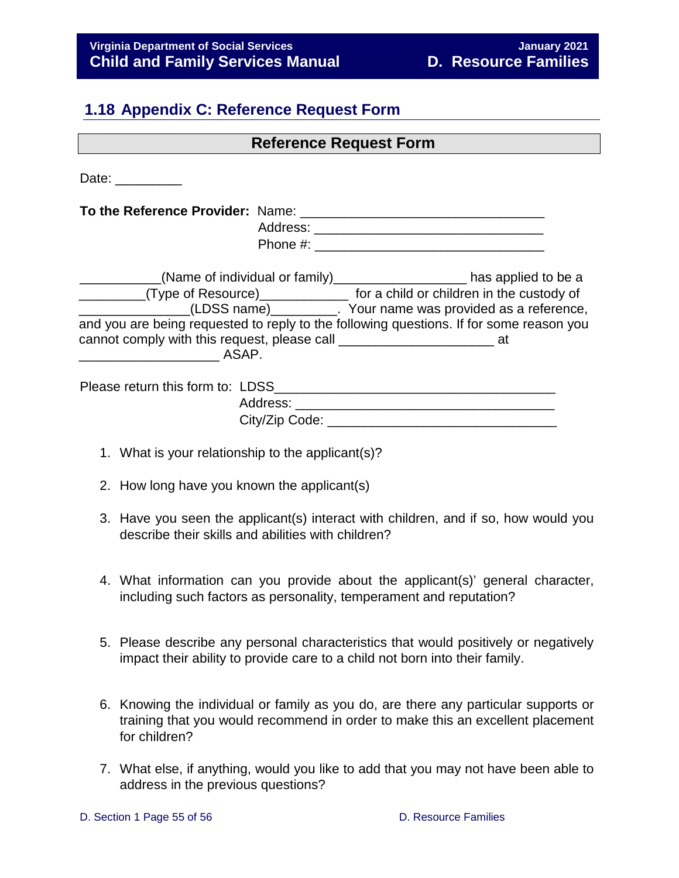## <span id="page-54-1"></span><span id="page-54-0"></span>**1.18 Appendix C: Reference Request Form**

| Date: $\frac{1}{\sqrt{1-\frac{1}{2}}\cdot\frac{1}{2}}$                                  |  |
|-----------------------------------------------------------------------------------------|--|
|                                                                                         |  |
|                                                                                         |  |
|                                                                                         |  |
| ___________(Name of individual or family)____________________has applied to be a        |  |
| _________(Type of Resource)______________ for a child or children in the custody of     |  |
| (LDSS name) [2012] Your name was provided as a reference,                               |  |
| and you are being requested to reply to the following questions. If for some reason you |  |
|                                                                                         |  |
|                                                                                         |  |
|                                                                                         |  |
|                                                                                         |  |
| City/Zip Code:                                                                          |  |
|                                                                                         |  |

**Reference Request Form** 

- 1. What is your relationship to the applicant(s)?
- 2. How long have you known the applicant(s)
- 3. Have you seen the applicant(s) interact with children, and if so, how would you describe their skills and abilities with children?
- 4. What information can you provide about the applicant(s)' general character, including such factors as personality, temperament and reputation?
- 5. Please describe any personal characteristics that would positively or negatively impact their ability to provide care to a child not born into their family.
- 6. Knowing the individual or family as you do, are there any particular supports or training that you would recommend in order to make this an excellent placement for children?
- 7. What else, if anything, would you like to add that you may not have been able to address in the previous questions?